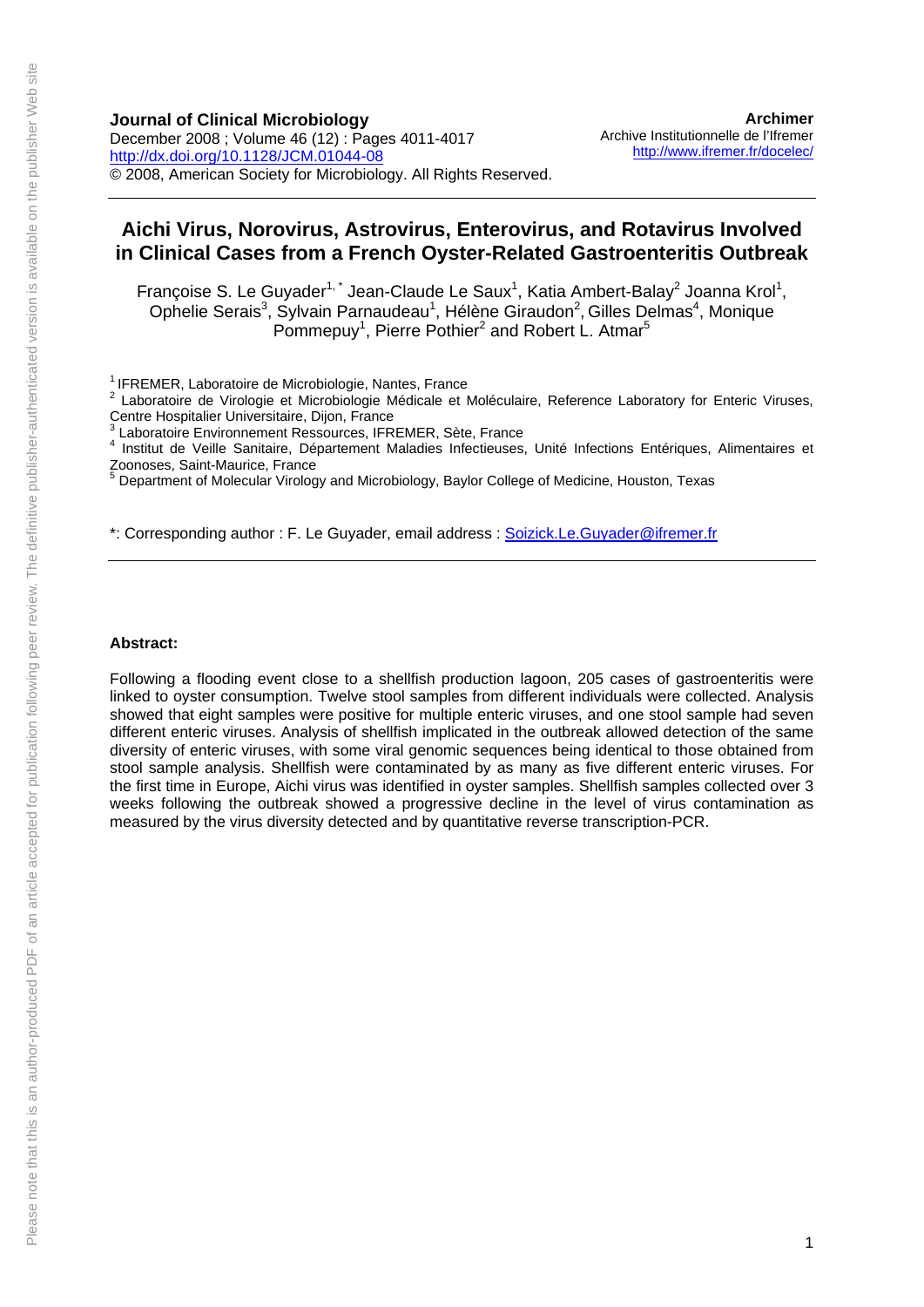**Journal of Clinical Microbiology**  December 2008 ; Volume 46 (12) : Pages 4011-4017 <http://dx.doi.org/10.1128/JCM.01044-08> © 2008, American Society for Microbiology. All Rights Reserved.

**[Archimer](http://www.ifremer.fr/docelec/)** [Archive Institutionnelle de l'Ifremer](http://www.ifremer.fr/docelec/) <http://www.ifremer.fr/docelec/>

## **Aichi Virus, Norovirus, Astrovirus, Enterovirus, and Rotavirus Involved in Clinical Cases from a French Oyster-Related Gastroenteritis Outbreak**

Françoise S. Le Guyader<sup>1,\*</sup> Jean-Claude Le Saux<sup>1</sup>, Katia Ambert-Balay<sup>2</sup> Joanna Krol<sup>1</sup>, Ophelie Serais<sup>3</sup>, Sylvain Parnaudeau<sup>1</sup>, Hélène Giraudon<sup>2</sup>, Gilles Delmas<sup>4</sup>, Monique Pommepuy<sup>1</sup>, Pierre Pothier<sup>2</sup> and Robert L. Atmar<sup>5</sup>

<sup>1</sup> IFREMER, Laboratoire de Microbiologie, Nantes, France

\*: Corresponding author : F. Le Guyader, email address : [Soizick.Le.Guyader@ifremer.fr](mailto:Soizick.Le.Guyader@ifremer.fr)

#### **Abstract:**

Following a flooding event close to a shellfish production lagoon, 205 cases of gastroenteritis were linked to oyster consumption. Twelve stool samples from different individuals were collected. Analysis showed that eight samples were positive for multiple enteric viruses, and one stool sample had seven different enteric viruses. Analysis of shellfish implicated in the outbreak allowed detection of the same diversity of enteric viruses, with some viral genomic sequences being identical to those obtained from stool sample analysis. Shellfish were contaminated by as many as five different enteric viruses. For the first time in Europe, Aichi virus was identified in oyster samples. Shellfish samples collected over 3 weeks following the outbreak showed a progressive decline in the level of virus contamination as measured by the virus diversity detected and by quantitative reverse transcription-PCR.

<sup>&</sup>lt;sup>2</sup> Laboratoire de Virologie et Microbiologie Médicale et Moléculaire, Reference Laboratory for Enteric Viruses, Centre Hospitalier Universitaire, Dijon, France

<sup>3</sup> Laboratoire Environnement Ressources, IFREMER, Sète, France

<sup>&</sup>lt;sup>4</sup> Institut de Veille Sanitaire, Département Maladies Infectieuses, Unité Infections Entériques, Alimentaires et Zoonoses, Saint-Maurice, France 5

Department of Molecular Virology and Microbiology, Baylor College of Medicine, Houston, Texas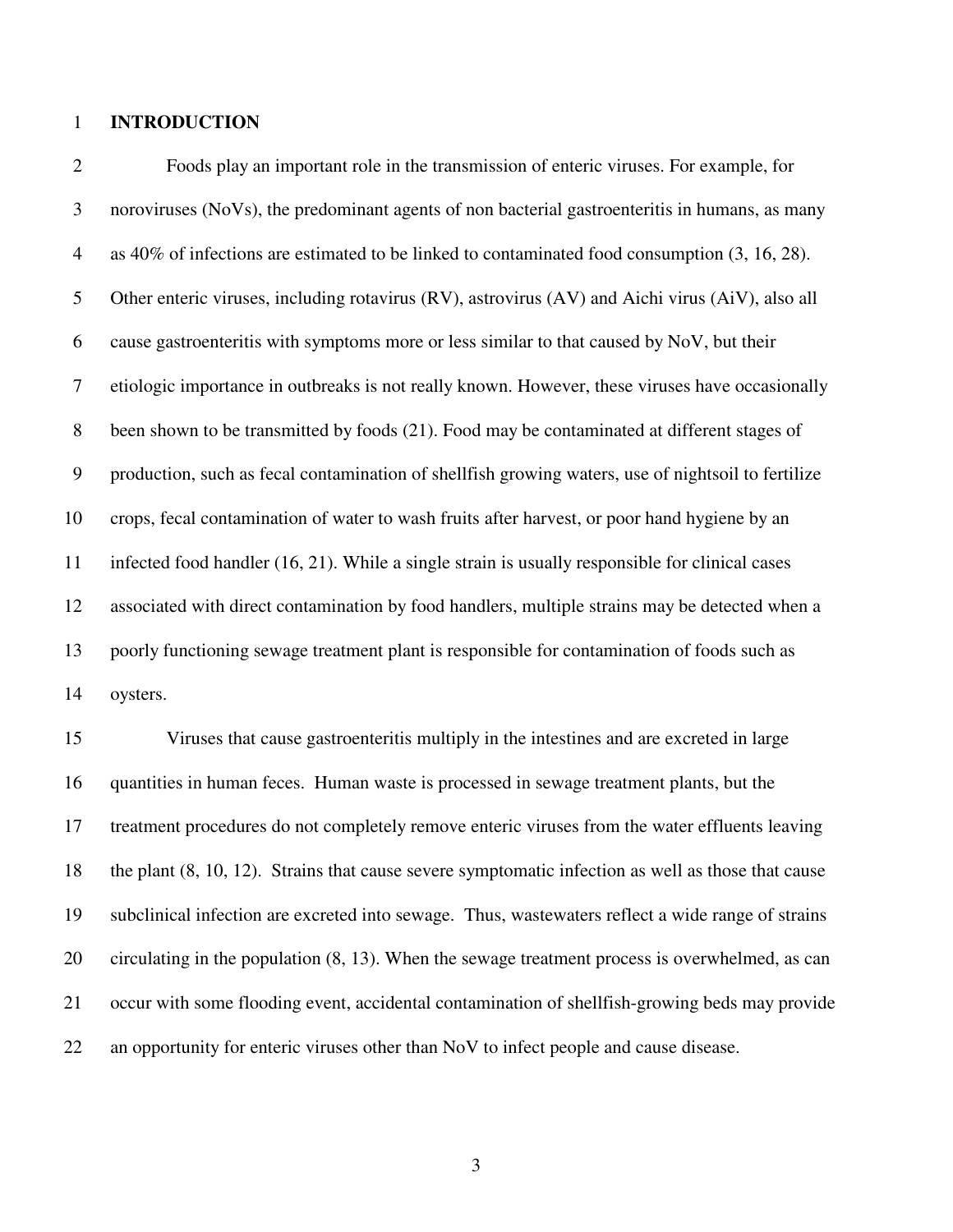### 1 **INTRODUCTION**

2 Foods play an important role in the transmission of enteric viruses. For example, for 3 noroviruses (NoVs), the predominant agents of non bacterial gastroenteritis in humans, as many 4 as 40% of infections are estimated to be linked to contaminated food consumption (3, 16, 28). 5 Other enteric viruses, including rotavirus (RV), astrovirus (AV) and Aichi virus (AiV), also all 6 cause gastroenteritis with symptoms more or less similar to that caused by NoV, but their 7 etiologic importance in outbreaks is not really known. However, these viruses have occasionally 8 been shown to be transmitted by foods (21). Food may be contaminated at different stages of 9 production, such as fecal contamination of shellfish growing waters, use of nightsoil to fertilize 10 crops, fecal contamination of water to wash fruits after harvest, or poor hand hygiene by an 11 infected food handler (16, 21). While a single strain is usually responsible for clinical cases 12 associated with direct contamination by food handlers, multiple strains may be detected when a 13 poorly functioning sewage treatment plant is responsible for contamination of foods such as 14 oysters.

15 Viruses that cause gastroenteritis multiply in the intestines and are excreted in large 16 quantities in human feces. Human waste is processed in sewage treatment plants, but the 17 treatment procedures do not completely remove enteric viruses from the water effluents leaving 18 the plant (8, 10, 12). Strains that cause severe symptomatic infection as well as those that cause 19 subclinical infection are excreted into sewage. Thus, wastewaters reflect a wide range of strains 20 circulating in the population (8, 13). When the sewage treatment process is overwhelmed, as can 21 occur with some flooding event, accidental contamination of shellfish-growing beds may provide 22 an opportunity for enteric viruses other than NoV to infect people and cause disease.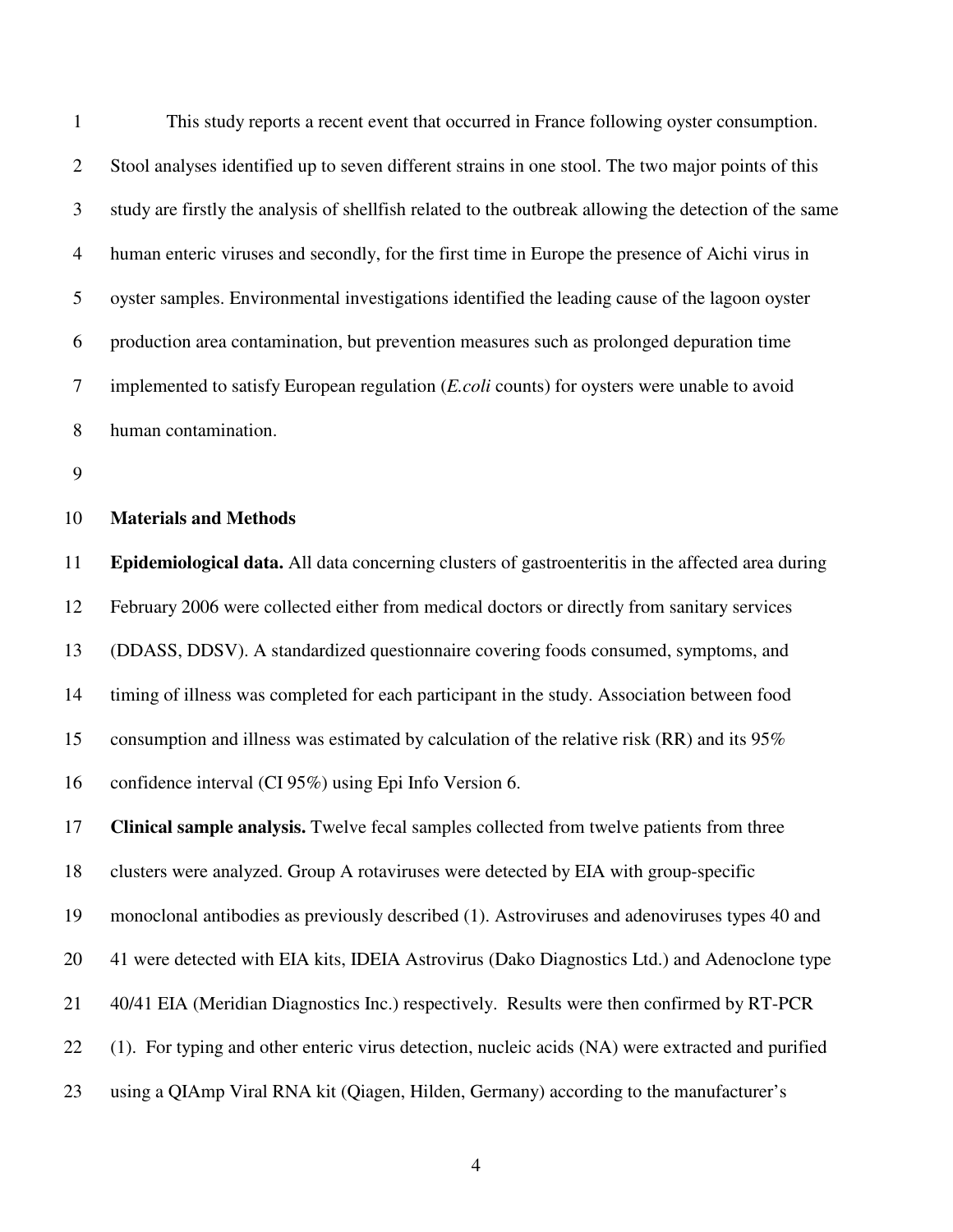1 This study reports a recent event that occurred in France following oyster consumption. 2 Stool analyses identified up to seven different strains in one stool. The two major points of this 3 study are firstly the analysis of shellfish related to the outbreak allowing the detection of the same 4 human enteric viruses and secondly, for the first time in Europe the presence of Aichi virus in 5 oyster samples. Environmental investigations identified the leading cause of the lagoon oyster 6 production area contamination, but prevention measures such as prolonged depuration time 7 implemented to satisfy European regulation (*E.coli* counts) for oysters were unable to avoid 8 human contamination.

9

### 10 **Materials and Methods**

11 **Epidemiological data.** All data concerning clusters of gastroenteritis in the affected area during 12 February 2006 were collected either from medical doctors or directly from sanitary services 13 (DDASS, DDSV). A standardized questionnaire covering foods consumed, symptoms, and 14 timing of illness was completed for each participant in the study. Association between food 15 consumption and illness was estimated by calculation of the relative risk (RR) and its 95% 16 confidence interval (CI 95%) using Epi Info Version 6.

17 **Clinical sample analysis.** Twelve fecal samples collected from twelve patients from three 18 clusters were analyzed. Group A rotaviruses were detected by EIA with group-specific 19 monoclonal antibodies as previously described (1). Astroviruses and adenoviruses types 40 and 20 41 were detected with EIA kits, IDEIA Astrovirus (Dako Diagnostics Ltd.) and Adenoclone type 21 40/41 EIA (Meridian Diagnostics Inc.) respectively. Results were then confirmed by RT-PCR 22 (1). For typing and other enteric virus detection, nucleic acids (NA) were extracted and purified 23 using a QIAmp Viral RNA kit (Qiagen, Hilden, Germany) according to the manufacturer's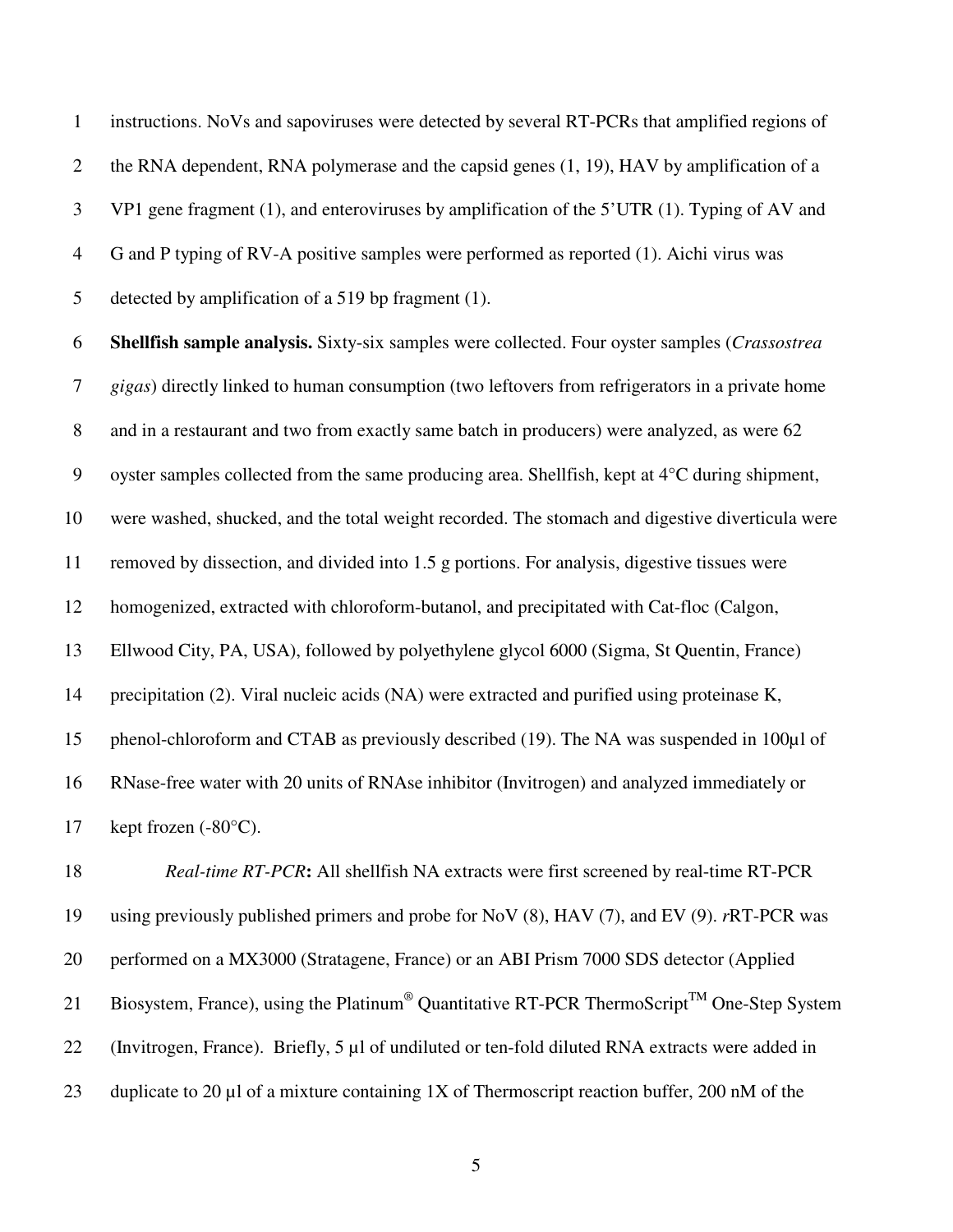1 instructions. NoVs and sapoviruses were detected by several RT-PCRs that amplified regions of 2 the RNA dependent, RNA polymerase and the capsid genes (1, 19), HAV by amplification of a 3 VP1 gene fragment (1), and enteroviruses by amplification of the 5'UTR (1). Typing of AV and 4 G and P typing of RV-A positive samples were performed as reported (1). Aichi virus was 5 detected by amplification of a 519 bp fragment (1).

6 **Shellfish sample analysis.** Sixty-six samples were collected. Four oyster samples (*Crassostrea*  7 *gigas*) directly linked to human consumption (two leftovers from refrigerators in a private home 8 and in a restaurant and two from exactly same batch in producers) were analyzed, as were 62 9 oyster samples collected from the same producing area. Shellfish, kept at 4°C during shipment, 10 were washed, shucked, and the total weight recorded. The stomach and digestive diverticula were 11 removed by dissection, and divided into 1.5 g portions. For analysis, digestive tissues were 12 homogenized, extracted with chloroform-butanol, and precipitated with Cat-floc (Calgon, 13 Ellwood City, PA, USA), followed by polyethylene glycol 6000 (Sigma, St Quentin, France) 14 precipitation (2). Viral nucleic acids (NA) were extracted and purified using proteinase K, 15 phenol-chloroform and CTAB as previously described (19). The NA was suspended in 100µl of 16 RNase-free water with 20 units of RNAse inhibitor (Invitrogen) and analyzed immediately or 17 kept frozen  $(-80^{\circ}C)$ .

18 *Real-time RT-PCR***:** All shellfish NA extracts were first screened by real-time RT-PCR 19 using previously published primers and probe for NoV (8), HAV (7), and EV (9). *r*RT-PCR was 20 performed on a MX3000 (Stratagene, France) or an ABI Prism 7000 SDS detector (Applied 21 Biosystem, France), using the Platinum<sup>®</sup> Quantitative RT-PCR ThermoScript<sup>TM</sup> One-Step System 22 (Invitrogen, France). Briefly, 5 µl of undiluted or ten-fold diluted RNA extracts were added in 23 duplicate to 20  $\mu$ l of a mixture containing 1X of Thermoscript reaction buffer, 200 nM of the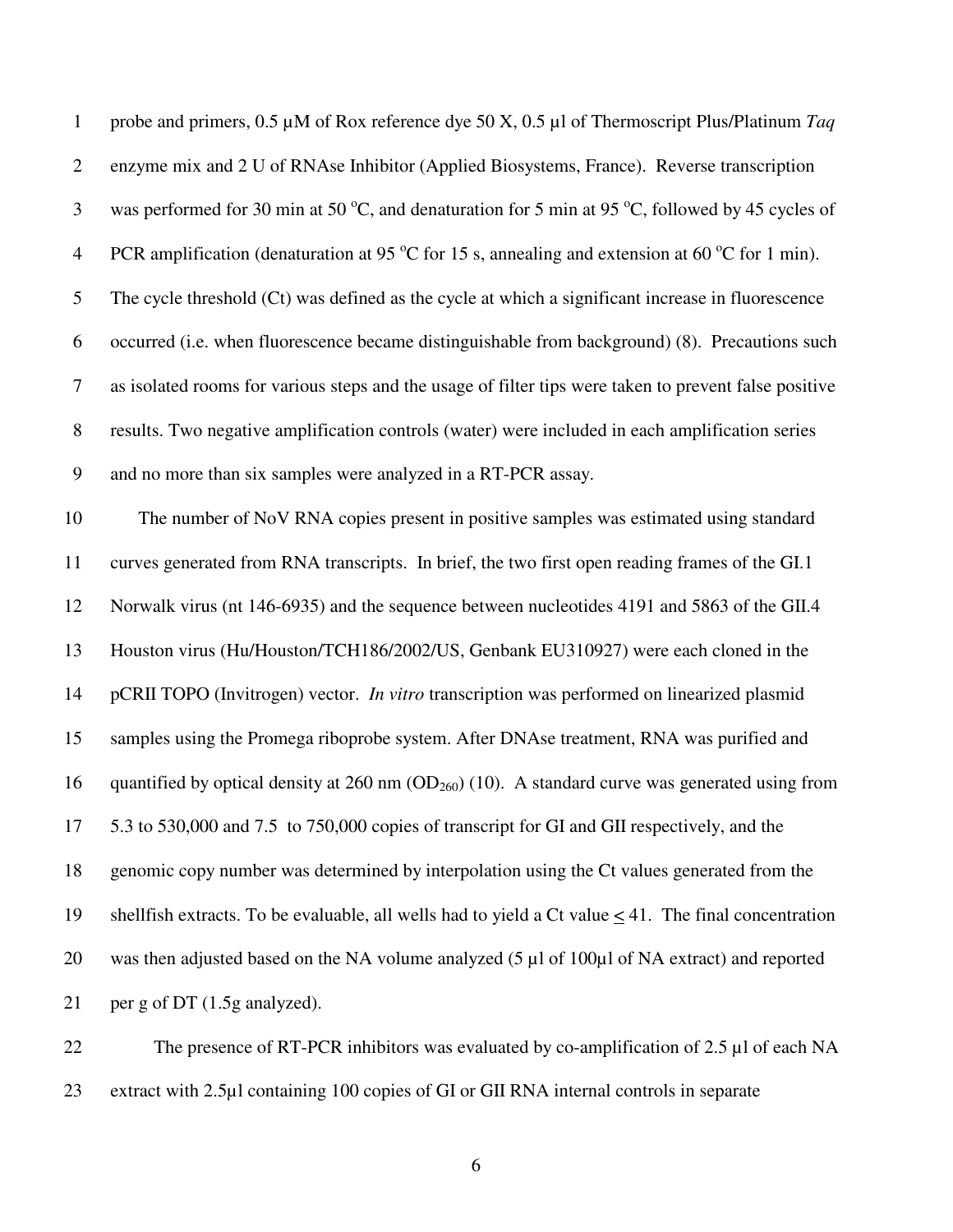| $\mathbf{1}$   | probe and primers, $0.5 \mu M$ of Rox reference dye 50 X, $0.5 \mu I$ of Thermoscript Plus/Platinum Taq           |
|----------------|-------------------------------------------------------------------------------------------------------------------|
| $\overline{2}$ | enzyme mix and 2 U of RNAse Inhibitor (Applied Biosystems, France). Reverse transcription                         |
| 3              | was performed for 30 min at 50 °C, and denaturation for 5 min at 95 °C, followed by 45 cycles of                  |
| $\overline{4}$ | PCR amplification (denaturation at 95 $\degree$ C for 15 s, annealing and extension at 60 $\degree$ C for 1 min). |
| 5              | The cycle threshold (Ct) was defined as the cycle at which a significant increase in fluorescence                 |
| 6              | occurred (i.e. when fluorescence became distinguishable from background) (8). Precautions such                    |
| $\tau$         | as isolated rooms for various steps and the usage of filter tips were taken to prevent false positive             |
| $8\,$          | results. Two negative amplification controls (water) were included in each amplification series                   |
| 9              | and no more than six samples were analyzed in a RT-PCR assay.                                                     |
| 10             | The number of NoV RNA copies present in positive samples was estimated using standard                             |
| 11             | curves generated from RNA transcripts. In brief, the two first open reading frames of the GI.1                    |
| 12             | Norwalk virus (nt 146-6935) and the sequence between nucleotides 4191 and 5863 of the GII.4                       |
| 13             | Houston virus (Hu/Houston/TCH186/2002/US, Genbank EU310927) were each cloned in the                               |
| 14             | pCRII TOPO (Invitrogen) vector. <i>In vitro</i> transcription was performed on linearized plasmid                 |
| 15             | samples using the Promega riboprobe system. After DNAse treatment, RNA was purified and                           |
| 16             | quantified by optical density at $260$ nm ( $OD260$ ) (10). A standard curve was generated using from             |
| 17             | 5.3 to 530,000 and 7.5 to 750,000 copies of transcript for GI and GII respectively, and the                       |
| 18             | genomic copy number was determined by interpolation using the Ct values generated from the                        |
| 19             | shell fish extracts. To be evaluable, all wells had to yield a Ct value $\leq$ 41. The final concentration        |
| 20             | was then adjusted based on the NA volume analyzed (5 µl of 100µl of NA extract) and reported                      |
| 21             | per g of DT (1.5g analyzed).                                                                                      |
| 22             | The presence of RT-PCR inhibitors was evaluated by co-amplification of $2.5 \mu$ l of each NA                     |

23 extract with 2.5µl containing 100 copies of GI or GII RNA internal controls in separate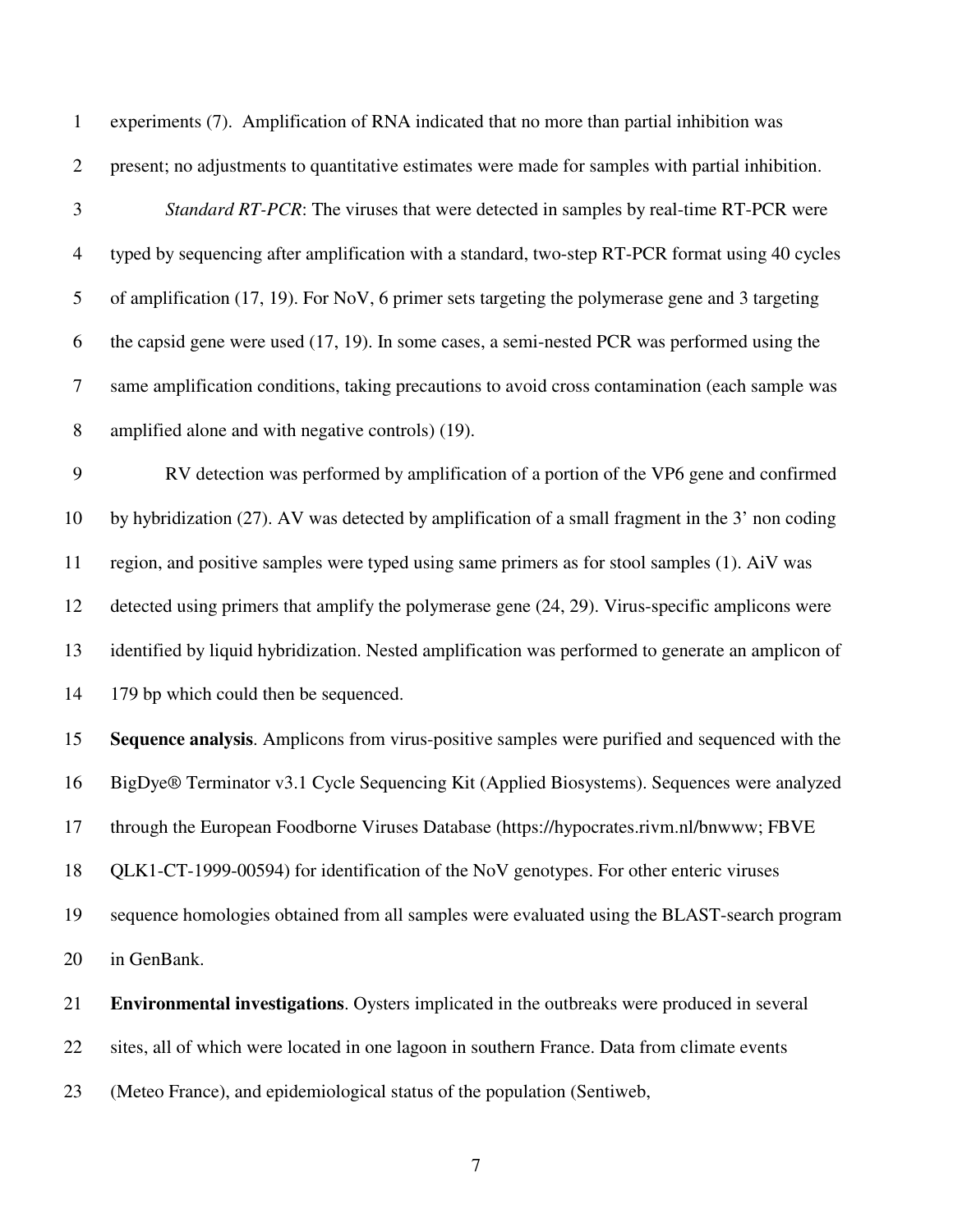1 experiments (7). Amplification of RNA indicated that no more than partial inhibition was

2 present; no adjustments to quantitative estimates were made for samples with partial inhibition.

3 *Standard RT-PCR*: The viruses that were detected in samples by real-time RT-PCR were 4 typed by sequencing after amplification with a standard, two-step RT-PCR format using 40 cycles 5 of amplification (17, 19). For NoV, 6 primer sets targeting the polymerase gene and 3 targeting 6 the capsid gene were used (17, 19). In some cases, a semi-nested PCR was performed using the 7 same amplification conditions, taking precautions to avoid cross contamination (each sample was 8 amplified alone and with negative controls) (19).

9 RV detection was performed by amplification of a portion of the VP6 gene and confirmed 10 by hybridization (27). AV was detected by amplification of a small fragment in the 3' non coding 11 region, and positive samples were typed using same primers as for stool samples (1). AiV was 12 detected using primers that amplify the polymerase gene (24, 29). Virus-specific amplicons were 13 identified by liquid hybridization. Nested amplification was performed to generate an amplicon of 14 179 bp which could then be sequenced.

15 **Sequence analysis**. Amplicons from virus-positive samples were purified and sequenced with the 16 BigDye® Terminator v3.1 Cycle Sequencing Kit (Applied Biosystems). Sequences were analyzed 17 through the European Foodborne Viruses Database (https://hypocrates.rivm.nl/bnwww; FBVE 18 QLK1-CT-1999-00594) for identification of the NoV genotypes. For other enteric viruses 19 sequence homologies obtained from all samples were evaluated using the BLAST-search program 20 in GenBank.

21 **Environmental investigations**. Oysters implicated in the outbreaks were produced in several 22 sites, all of which were located in one lagoon in southern France. Data from climate events 23 (Meteo France), and epidemiological status of the population (Sentiweb,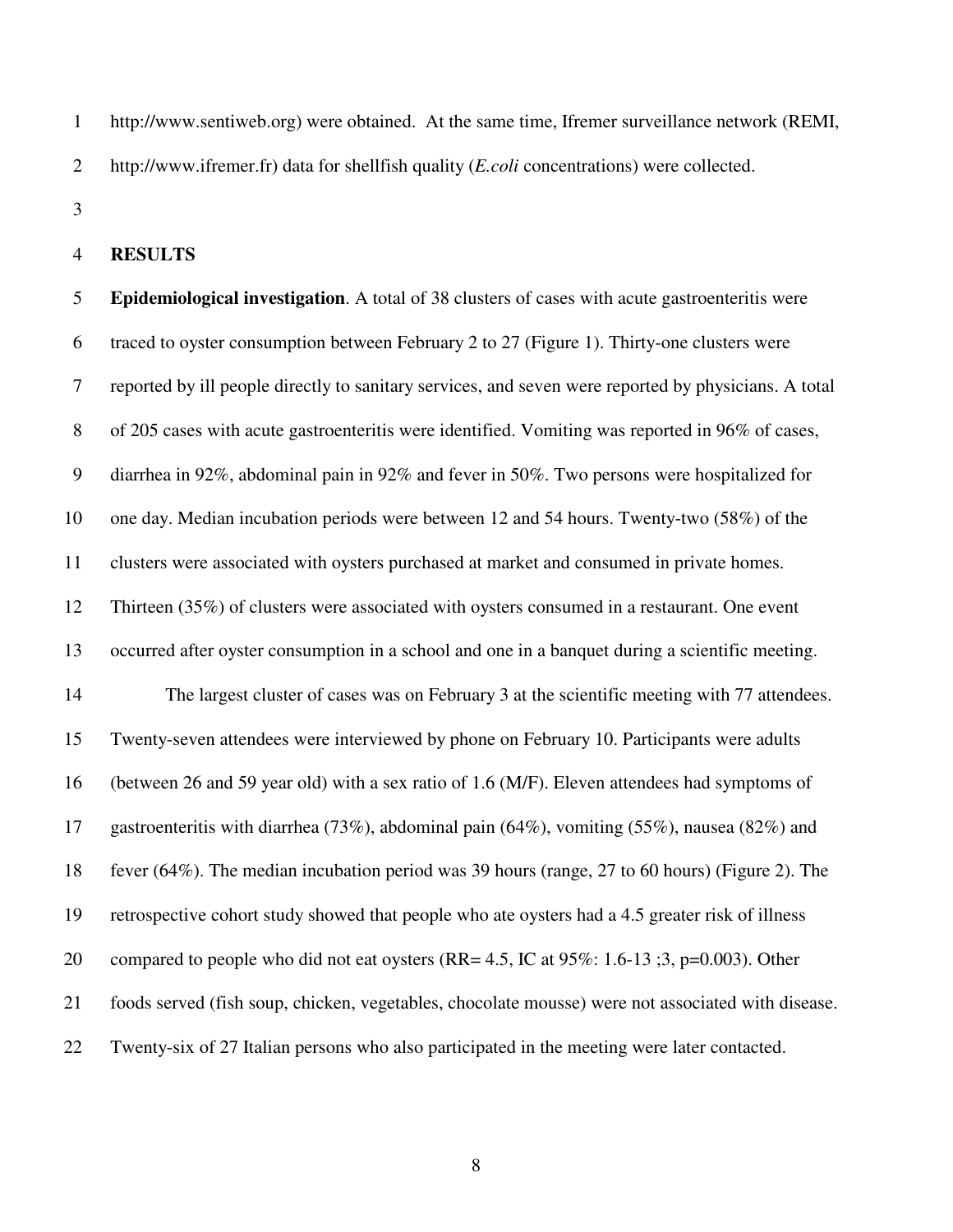1 http://www.sentiweb.org) were obtained. At the same time, Ifremer surveillance network (REMI, 2 http://www.ifremer.fr) data for shellfish quality (*E.coli* concentrations) were collected.

3

#### 4 **RESULTS**

5 **Epidemiological investigation**. A total of 38 clusters of cases with acute gastroenteritis were 6 traced to oyster consumption between February 2 to 27 (Figure 1). Thirty-one clusters were 7 reported by ill people directly to sanitary services, and seven were reported by physicians. A total 8 of 205 cases with acute gastroenteritis were identified. Vomiting was reported in 96% of cases, 9 diarrhea in 92%, abdominal pain in 92% and fever in 50%. Two persons were hospitalized for 10 one day. Median incubation periods were between 12 and 54 hours. Twenty-two (58%) of the 11 clusters were associated with oysters purchased at market and consumed in private homes. 12 Thirteen (35%) of clusters were associated with oysters consumed in a restaurant. One event 13 occurred after oyster consumption in a school and one in a banquet during a scientific meeting. 14 The largest cluster of cases was on February 3 at the scientific meeting with 77 attendees. 15 Twenty-seven attendees were interviewed by phone on February 10. Participants were adults 16 (between 26 and 59 year old) with a sex ratio of 1.6 (M/F). Eleven attendees had symptoms of 17 gastroenteritis with diarrhea (73%), abdominal pain (64%), vomiting (55%), nausea (82%) and 18 fever (64%). The median incubation period was 39 hours (range, 27 to 60 hours) (Figure 2). The 19 retrospective cohort study showed that people who ate oysters had a 4.5 greater risk of illness 20 compared to people who did not eat oysters (RR=  $4.5$ , IC at  $95\%$ : 1.6-13 ;3, p=0.003). Other 21 foods served (fish soup, chicken, vegetables, chocolate mousse) were not associated with disease. 22 Twenty-six of 27 Italian persons who also participated in the meeting were later contacted.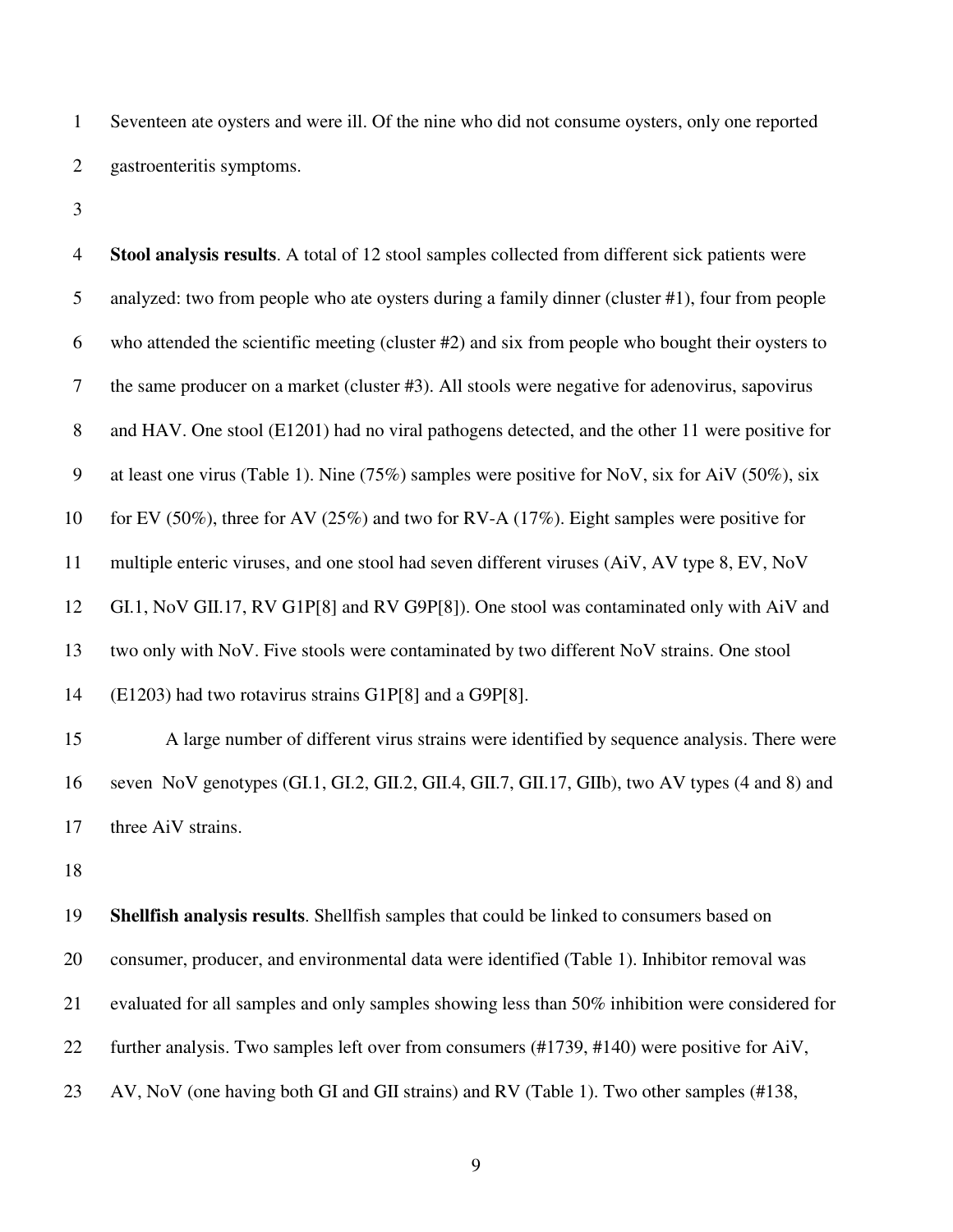1 Seventeen ate oysters and were ill. Of the nine who did not consume oysters, only one reported 2 gastroenteritis symptoms.

3

4 **Stool analysis results**. A total of 12 stool samples collected from different sick patients were 5 analyzed: two from people who ate oysters during a family dinner (cluster #1), four from people 6 who attended the scientific meeting (cluster #2) and six from people who bought their oysters to 7 the same producer on a market (cluster #3). All stools were negative for adenovirus, sapovirus 8 and HAV. One stool (E1201) had no viral pathogens detected, and the other 11 were positive for 9 at least one virus (Table 1). Nine (75%) samples were positive for NoV, six for AiV (50%), six 10 for EV (50%), three for AV (25%) and two for RV-A (17%). Eight samples were positive for 11 multiple enteric viruses, and one stool had seven different viruses (AiV, AV type 8, EV, NoV 12 GI.1, NoV GII.17, RV G1P[8] and RV G9P[8]). One stool was contaminated only with AiV and 13 two only with NoV. Five stools were contaminated by two different NoV strains. One stool 14 (E1203) had two rotavirus strains G1P[8] and a G9P[8]. 15 A large number of different virus strains were identified by sequence analysis. There were 16 seven NoV genotypes (GI.1, GI.2, GII.2, GII.4, GII.7, GII.17, GIIb), two AV types (4 and 8) and

17 three AiV strains.

18

19 **Shellfish analysis results**. Shellfish samples that could be linked to consumers based on 20 consumer, producer, and environmental data were identified (Table 1). Inhibitor removal was 21 evaluated for all samples and only samples showing less than 50% inhibition were considered for 22 further analysis. Two samples left over from consumers (#1739, #140) were positive for AiV, 23 AV, NoV (one having both GI and GII strains) and RV (Table 1). Two other samples (#138,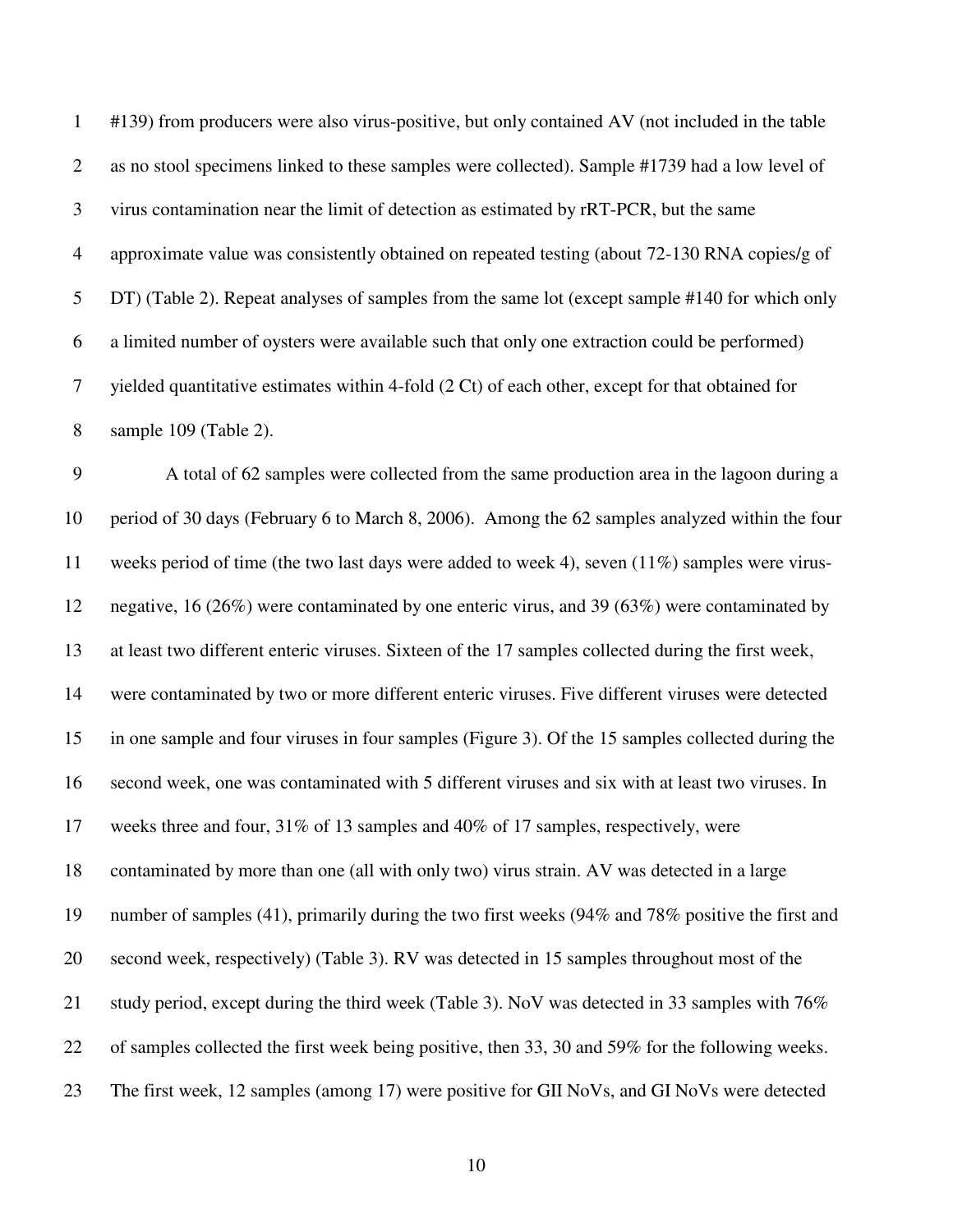1 #139) from producers were also virus-positive, but only contained AV (not included in the table 2 as no stool specimens linked to these samples were collected). Sample #1739 had a low level of 3 virus contamination near the limit of detection as estimated by rRT-PCR, but the same 4 approximate value was consistently obtained on repeated testing (about 72-130 RNA copies/g of 5 DT) (Table 2). Repeat analyses of samples from the same lot (except sample #140 for which only 6 a limited number of oysters were available such that only one extraction could be performed) 7 yielded quantitative estimates within 4-fold (2 Ct) of each other, except for that obtained for 8 sample 109 (Table 2).

9 A total of 62 samples were collected from the same production area in the lagoon during a 10 period of 30 days (February 6 to March 8, 2006). Among the 62 samples analyzed within the four 11 weeks period of time (the two last days were added to week 4), seven (11%) samples were virus-12 negative, 16 (26%) were contaminated by one enteric virus, and 39 (63%) were contaminated by 13 at least two different enteric viruses. Sixteen of the 17 samples collected during the first week, 14 were contaminated by two or more different enteric viruses. Five different viruses were detected 15 in one sample and four viruses in four samples (Figure 3). Of the 15 samples collected during the 16 second week, one was contaminated with 5 different viruses and six with at least two viruses. In 17 weeks three and four, 31% of 13 samples and 40% of 17 samples, respectively, were 18 contaminated by more than one (all with only two) virus strain. AV was detected in a large 19 number of samples (41), primarily during the two first weeks (94% and 78% positive the first and 20 second week, respectively) (Table 3). RV was detected in 15 samples throughout most of the 21 study period, except during the third week (Table 3). NoV was detected in 33 samples with 76% 22 of samples collected the first week being positive, then 33, 30 and 59% for the following weeks. 23 The first week, 12 samples (among 17) were positive for GII NoVs, and GI NoVs were detected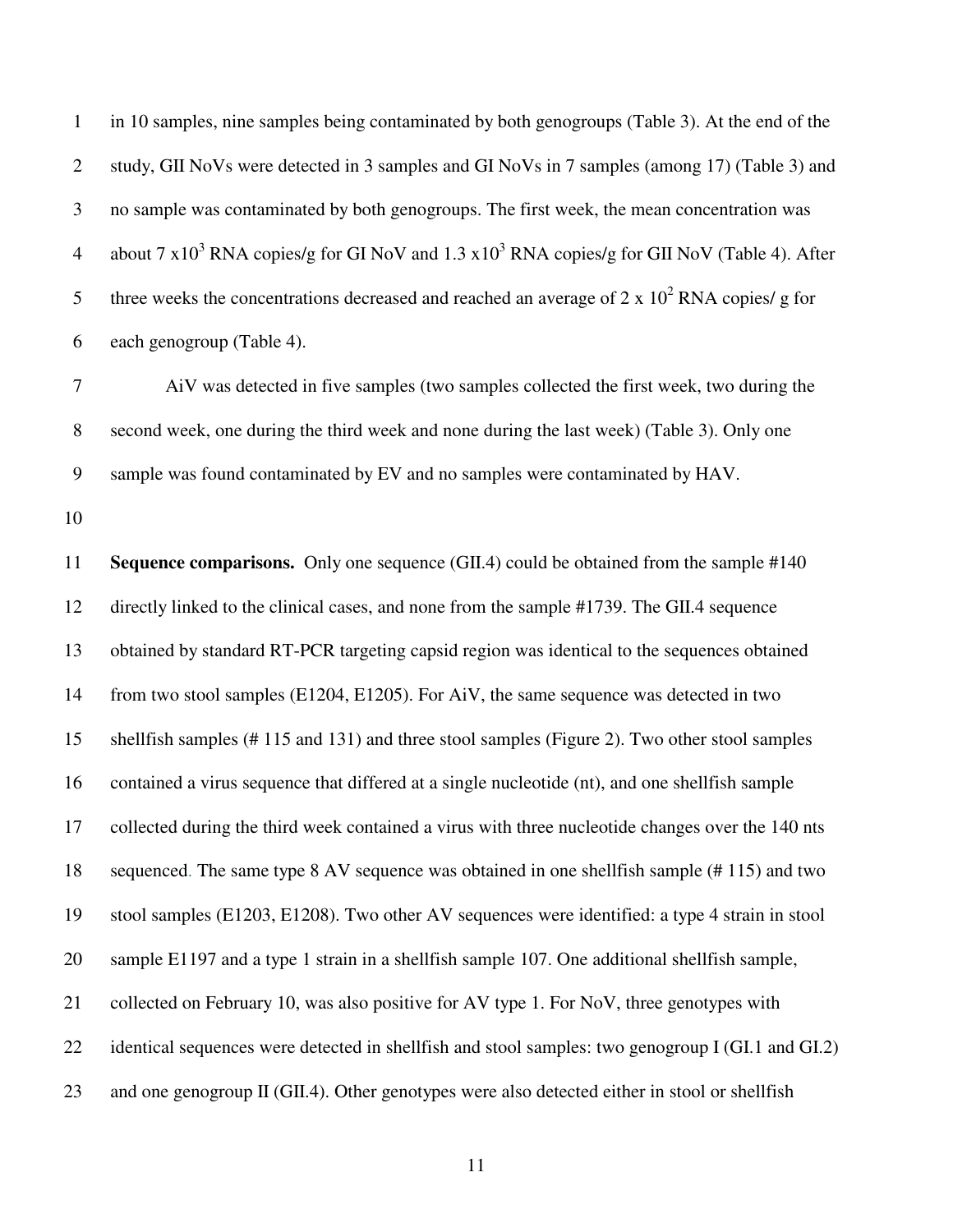1 in 10 samples, nine samples being contaminated by both genogroups (Table 3). At the end of the 2 study, GII NoVs were detected in 3 samples and GI NoVs in 7 samples (among 17) (Table 3) and 3 no sample was contaminated by both genogroups. The first week, the mean concentration was 4 about 7 x10<sup>3</sup> RNA copies/g for GI NoV and 1.3 x10<sup>3</sup> RNA copies/g for GII NoV (Table 4). After 5 three weeks the concentrations decreased and reached an average of  $2 \times 10^2$  RNA copies/ g for 6 each genogroup (Table 4).

7 AiV was detected in five samples (two samples collected the first week, two during the 8 second week, one during the third week and none during the last week) (Table 3). Only one 9 sample was found contaminated by EV and no samples were contaminated by HAV.

10

11 **Sequence comparisons.** Only one sequence (GII.4) could be obtained from the sample #140 12 directly linked to the clinical cases, and none from the sample #1739. The GII.4 sequence 13 obtained by standard RT-PCR targeting capsid region was identical to the sequences obtained 14 from two stool samples (E1204, E1205). For AiV, the same sequence was detected in two 15 shellfish samples (# 115 and 131) and three stool samples (Figure 2). Two other stool samples 16 contained a virus sequence that differed at a single nucleotide (nt), and one shellfish sample 17 collected during the third week contained a virus with three nucleotide changes over the 140 nts 18 sequenced. The same type 8 AV sequence was obtained in one shellfish sample (# 115) and two 19 stool samples (E1203, E1208). Two other AV sequences were identified: a type 4 strain in stool 20 sample E1197 and a type 1 strain in a shellfish sample 107. One additional shellfish sample, 21 collected on February 10, was also positive for AV type 1. For NoV, three genotypes with 22 identical sequences were detected in shellfish and stool samples: two genogroup I (GI.1 and GI.2) 23 and one genogroup II (GII.4). Other genotypes were also detected either in stool or shellfish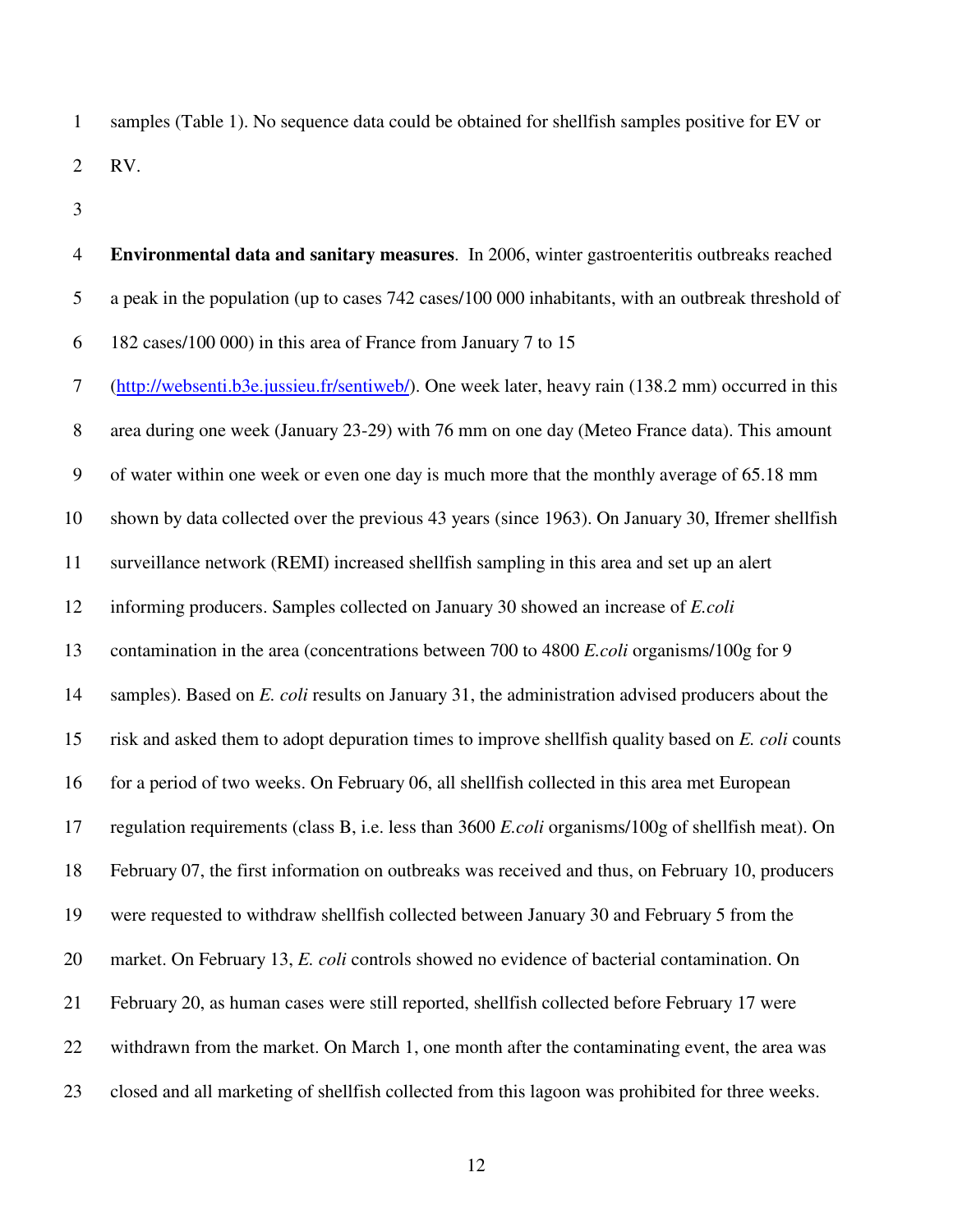1 samples (Table 1). No sequence data could be obtained for shellfish samples positive for EV or 2 RV.

3

4 **Environmental data and sanitary measures**. In 2006, winter gastroenteritis outbreaks reached 5 a peak in the population (up to cases 742 cases/100 000 inhabitants, with an outbreak threshold of 6 182 cases/100 000) in this area of France from January 7 to 15 7 (http://websenti.b3e.jussieu.fr/sentiweb/). One week later, heavy rain (138.2 mm) occurred in this 8 area during one week (January 23-29) with 76 mm on one day (Meteo France data). This amount 9 of water within one week or even one day is much more that the monthly average of 65.18 mm 10 shown by data collected over the previous 43 years (since 1963). On January 30, Ifremer shellfish 11 surveillance network (REMI) increased shellfish sampling in this area and set up an alert 12 informing producers. Samples collected on January 30 showed an increase of *E.coli* 13 contamination in the area (concentrations between 700 to 4800 *E.coli* organisms/100g for 9 14 samples). Based on *E. coli* results on January 31, the administration advised producers about the 15 risk and asked them to adopt depuration times to improve shellfish quality based on *E. coli* counts 16 for a period of two weeks. On February 06, all shellfish collected in this area met European 17 regulation requirements (class B, i.e. less than 3600 *E.coli* organisms/100g of shellfish meat). On 18 February 07, the first information on outbreaks was received and thus, on February 10, producers 19 were requested to withdraw shellfish collected between January 30 and February 5 from the 20 market. On February 13, *E. coli* controls showed no evidence of bacterial contamination. On 21 February 20, as human cases were still reported, shellfish collected before February 17 were 22 withdrawn from the market. On March 1, one month after the contaminating event, the area was 23 closed and all marketing of shellfish collected from this lagoon was prohibited for three weeks.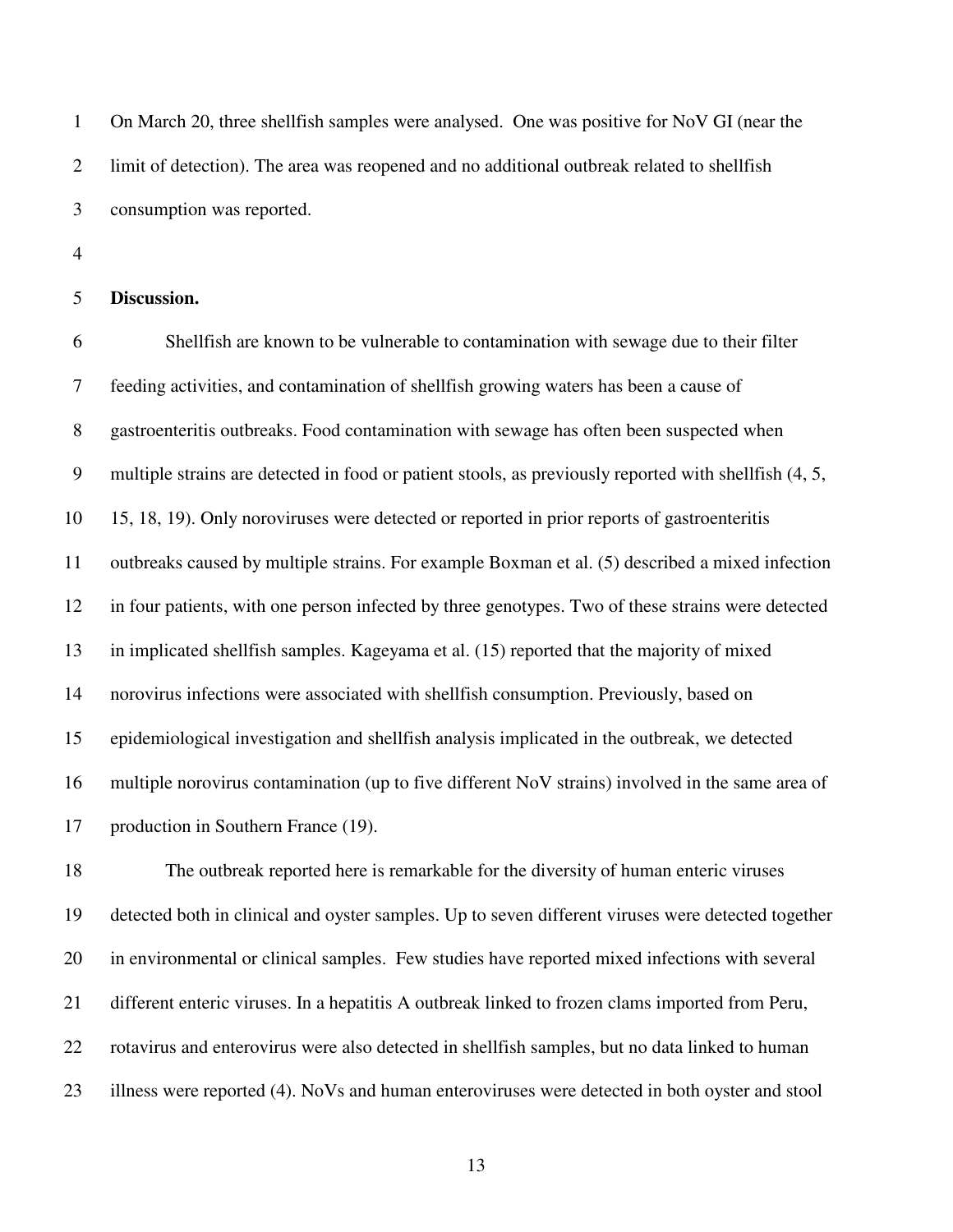1 On March 20, three shellfish samples were analysed. One was positive for NoV GI (near the 2 limit of detection). The area was reopened and no additional outbreak related to shellfish 3 consumption was reported.

4

### 5 **Discussion.**

6 Shellfish are known to be vulnerable to contamination with sewage due to their filter 7 feeding activities, and contamination of shellfish growing waters has been a cause of 8 gastroenteritis outbreaks. Food contamination with sewage has often been suspected when 9 multiple strains are detected in food or patient stools, as previously reported with shellfish (4, 5, 10 15, 18, 19). Only noroviruses were detected or reported in prior reports of gastroenteritis 11 outbreaks caused by multiple strains. For example Boxman et al. (5) described a mixed infection 12 in four patients, with one person infected by three genotypes. Two of these strains were detected 13 in implicated shellfish samples. Kageyama et al. (15) reported that the majority of mixed 14 norovirus infections were associated with shellfish consumption. Previously, based on 15 epidemiological investigation and shellfish analysis implicated in the outbreak, we detected 16 multiple norovirus contamination (up to five different NoV strains) involved in the same area of 17 production in Southern France (19).

18 The outbreak reported here is remarkable for the diversity of human enteric viruses 19 detected both in clinical and oyster samples. Up to seven different viruses were detected together 20 in environmental or clinical samples. Few studies have reported mixed infections with several 21 different enteric viruses. In a hepatitis A outbreak linked to frozen clams imported from Peru, 22 rotavirus and enterovirus were also detected in shellfish samples, but no data linked to human 23 illness were reported (4). NoVs and human enteroviruses were detected in both oyster and stool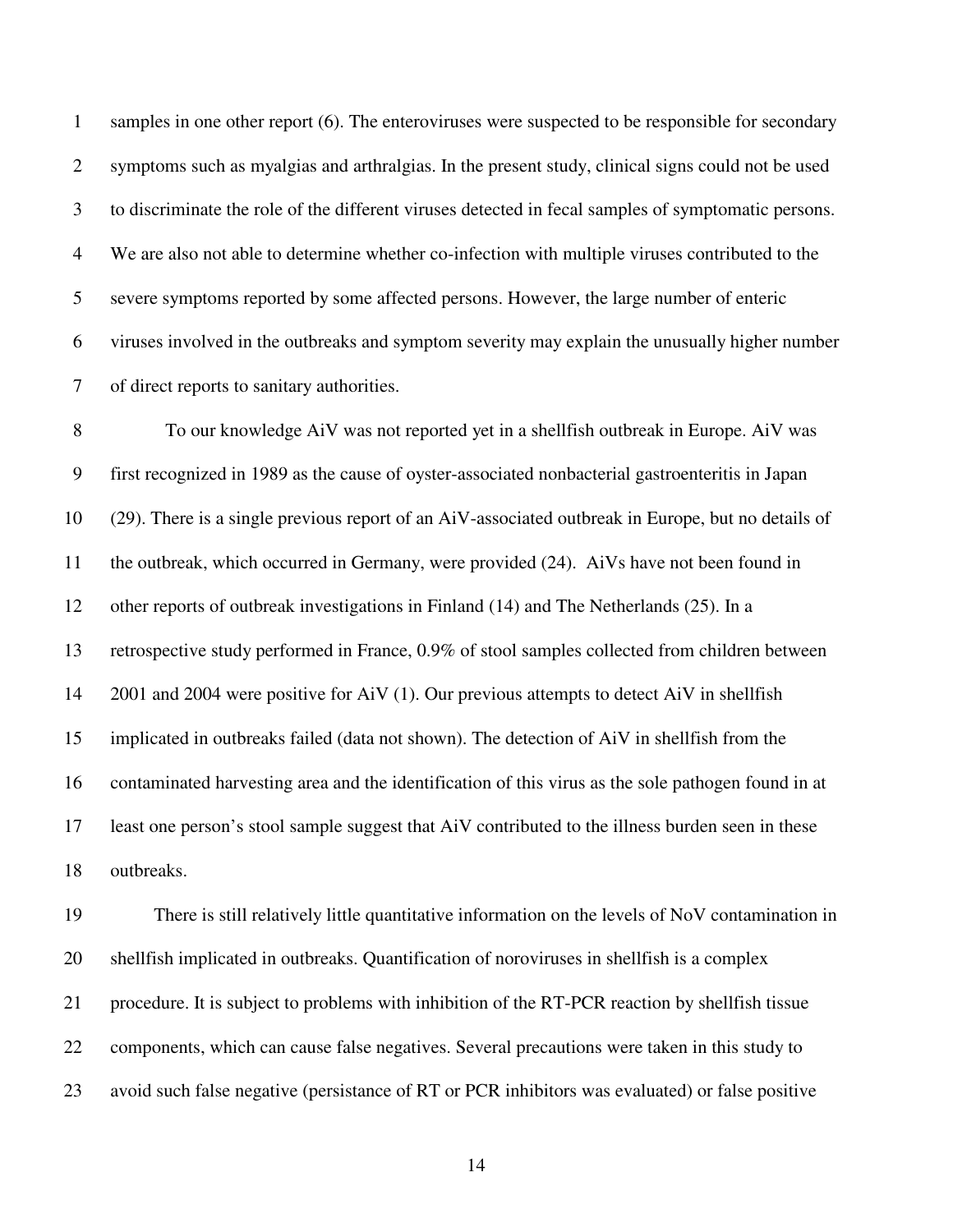1 samples in one other report (6). The enteroviruses were suspected to be responsible for secondary 2 symptoms such as myalgias and arthralgias. In the present study, clinical signs could not be used 3 to discriminate the role of the different viruses detected in fecal samples of symptomatic persons. 4 We are also not able to determine whether co-infection with multiple viruses contributed to the 5 severe symptoms reported by some affected persons. However, the large number of enteric 6 viruses involved in the outbreaks and symptom severity may explain the unusually higher number 7 of direct reports to sanitary authorities.

8 To our knowledge AiV was not reported yet in a shellfish outbreak in Europe. AiV was 9 first recognized in 1989 as the cause of oyster-associated nonbacterial gastroenteritis in Japan 10 (29). There is a single previous report of an AiV-associated outbreak in Europe, but no details of 11 the outbreak, which occurred in Germany, were provided (24). AiVs have not been found in 12 other reports of outbreak investigations in Finland (14) and The Netherlands (25). In a 13 retrospective study performed in France, 0.9% of stool samples collected from children between 14 2001 and 2004 were positive for AiV (1). Our previous attempts to detect AiV in shellfish 15 implicated in outbreaks failed (data not shown). The detection of AiV in shellfish from the 16 contaminated harvesting area and the identification of this virus as the sole pathogen found in at 17 least one person's stool sample suggest that AiV contributed to the illness burden seen in these 18 outbreaks.

19 There is still relatively little quantitative information on the levels of NoV contamination in 20 shellfish implicated in outbreaks. Quantification of noroviruses in shellfish is a complex 21 procedure. It is subject to problems with inhibition of the RT-PCR reaction by shellfish tissue 22 components, which can cause false negatives. Several precautions were taken in this study to 23 avoid such false negative (persistance of RT or PCR inhibitors was evaluated) or false positive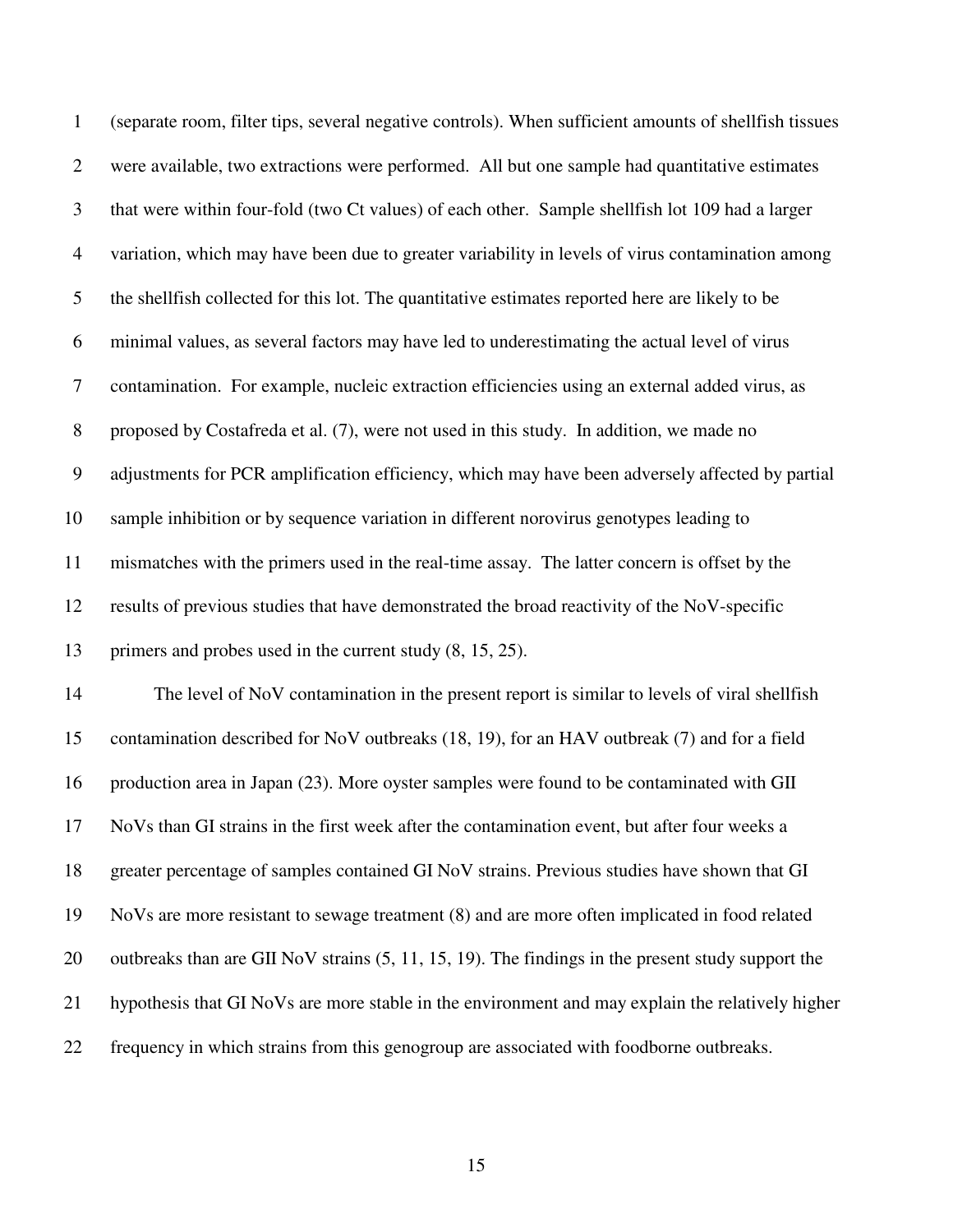| $\mathbf{1}$   | (separate room, filter tips, several negative controls). When sufficient amounts of shellfish tissues |
|----------------|-------------------------------------------------------------------------------------------------------|
| $\overline{2}$ | were available, two extractions were performed. All but one sample had quantitative estimates         |
| 3              | that were within four-fold (two Ct values) of each other. Sample shellfish lot 109 had a larger       |
| $\overline{4}$ | variation, which may have been due to greater variability in levels of virus contamination among      |
| 5              | the shellfish collected for this lot. The quantitative estimates reported here are likely to be       |
| 6              | minimal values, as several factors may have led to underestimating the actual level of virus          |
| $\tau$         | contamination. For example, nucleic extraction efficiencies using an external added virus, as         |
| $8\,$          | proposed by Costafreda et al. (7), were not used in this study. In addition, we made no               |
| 9              | adjustments for PCR amplification efficiency, which may have been adversely affected by partial       |
| 10             | sample inhibition or by sequence variation in different norovirus genotypes leading to                |
| 11             | mismatches with the primers used in the real-time assay. The latter concern is offset by the          |
| 12             | results of previous studies that have demonstrated the broad reactivity of the NoV-specific           |
| 13             | primers and probes used in the current study $(8, 15, 25)$ .                                          |
| 14             | The level of NoV contamination in the present report is similar to levels of viral shellfish          |
| 15             | contamination described for NoV outbreaks (18, 19), for an HAV outbreak (7) and for a field           |
| 16             | production area in Japan (23). More oyster samples were found to be contaminated with GII             |
| 17             | NoVs than GI strains in the first week after the contamination event, but after four weeks a          |
| 18             | greater percentage of samples contained GI NoV strains. Previous studies have shown that GI           |
| 19             | NoVs are more resistant to sewage treatment (8) and are more often implicated in food related         |
| 20             | outbreaks than are GII NoV strains (5, 11, 15, 19). The findings in the present study support the     |
| 21             | hypothesis that GI NoVs are more stable in the environment and may explain the relatively higher      |
| 22             | frequency in which strains from this genogroup are associated with foodborne outbreaks.               |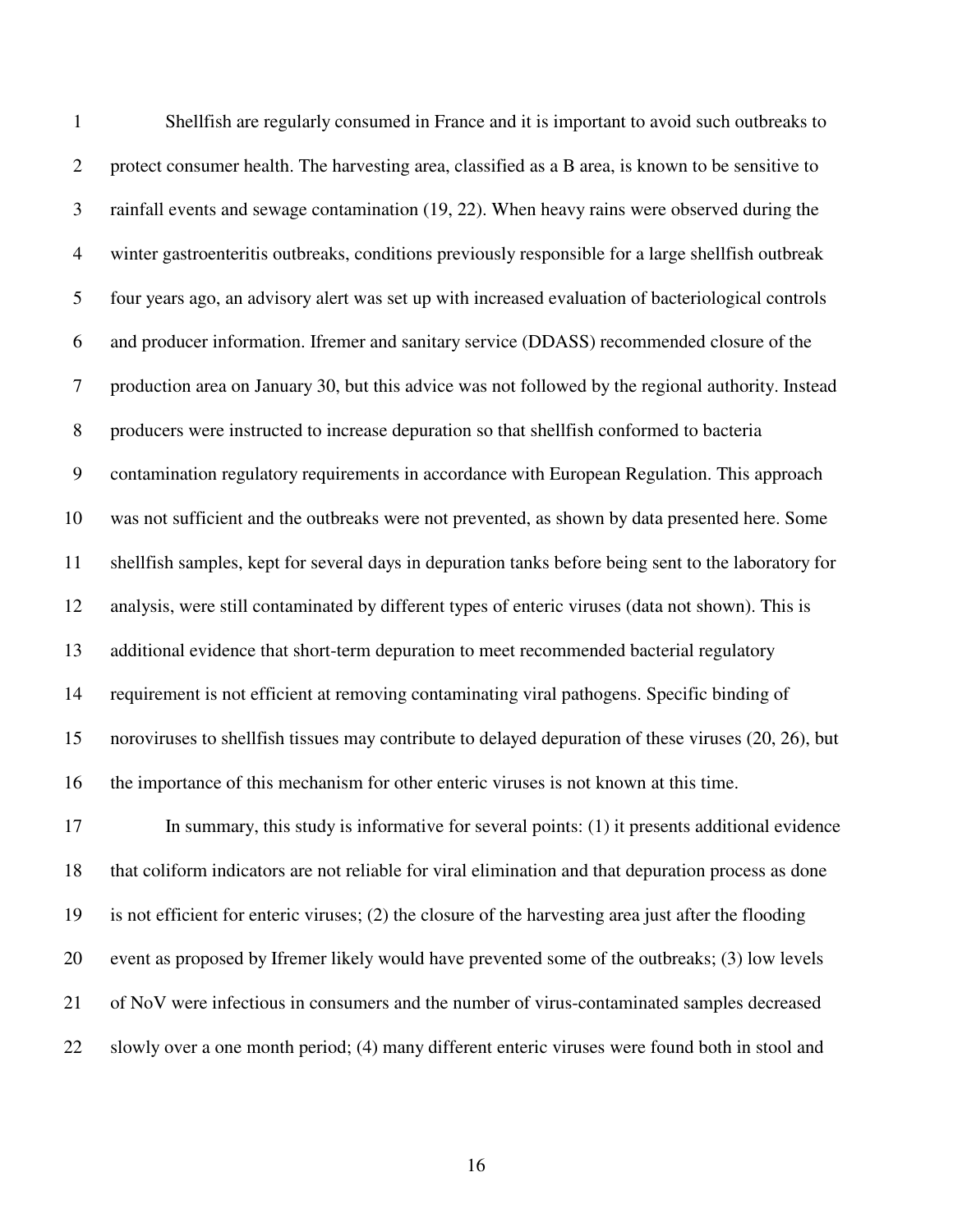| $\mathbf{1}$     | Shellfish are regularly consumed in France and it is important to avoid such outbreaks to             |
|------------------|-------------------------------------------------------------------------------------------------------|
| $\mathbf{2}$     | protect consumer health. The harvesting area, classified as a B area, is known to be sensitive to     |
| 3                | rainfall events and sewage contamination (19, 22). When heavy rains were observed during the          |
| $\overline{4}$   | winter gastroenteritis outbreaks, conditions previously responsible for a large shellfish outbreak    |
| 5                | four years ago, an advisory alert was set up with increased evaluation of bacteriological controls    |
| 6                | and producer information. Ifremer and sanitary service (DDASS) recommended closure of the             |
| 7                | production area on January 30, but this advice was not followed by the regional authority. Instead    |
| $8\,$            | producers were instructed to increase depuration so that shellfish conformed to bacteria              |
| $\boldsymbol{9}$ | contamination regulatory requirements in accordance with European Regulation. This approach           |
| 10               | was not sufficient and the outbreaks were not prevented, as shown by data presented here. Some        |
| 11               | shellfish samples, kept for several days in depuration tanks before being sent to the laboratory for  |
| 12               | analysis, were still contaminated by different types of enteric viruses (data not shown). This is     |
| 13               | additional evidence that short-term depuration to meet recommended bacterial regulatory               |
| 14               | requirement is not efficient at removing contaminating viral pathogens. Specific binding of           |
| 15               | noroviruses to shell fish tissues may contribute to delayed depuration of these viruses (20, 26), but |
| 16               | the importance of this mechanism for other enteric viruses is not known at this time.                 |
| 17               | In summary, this study is informative for several points: (1) it presents additional evidence         |
| 18               | that coliform indicators are not reliable for viral elimination and that depuration process as done   |
| 19               | is not efficient for enteric viruses; (2) the closure of the harvesting area just after the flooding  |
| 20               | event as proposed by Ifremer likely would have prevented some of the outbreaks; (3) low levels        |
| 21               | of NoV were infectious in consumers and the number of virus-contaminated samples decreased            |

22 slowly over a one month period; (4) many different enteric viruses were found both in stool and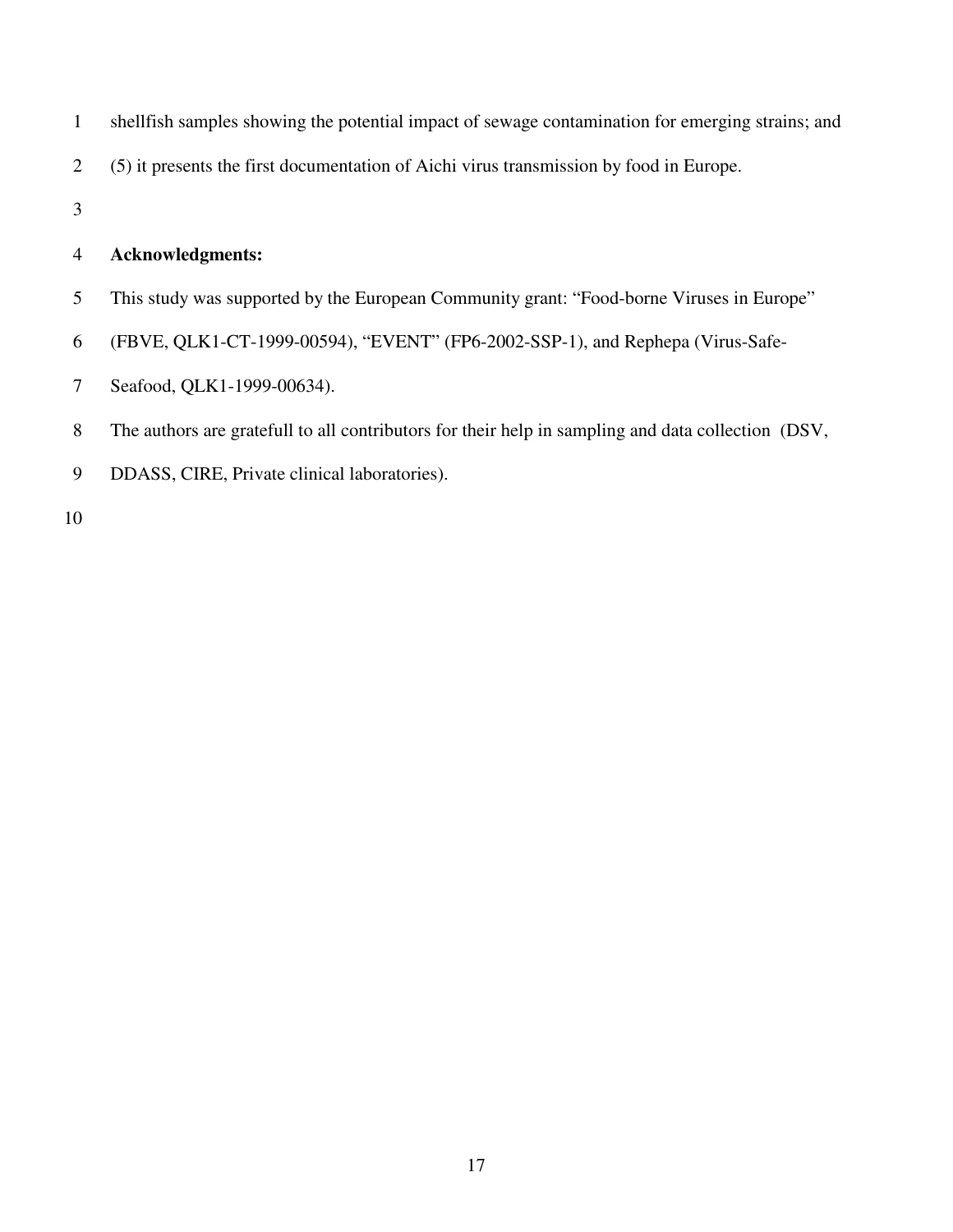| 1 | shell fish samples showing the potential impact of sewage contamination for emerging strains; and |
|---|---------------------------------------------------------------------------------------------------|
| 2 | (5) it presents the first documentation of Aichi virus transmission by food in Europe.            |
| 3 |                                                                                                   |
| 4 | Acknowledgments:                                                                                  |
| 5 | This study was supported by the European Community grant: "Food-borne Viruses in Europe"          |
| 6 | (FBVE, QLK1-CT-1999-00594), "EVENT" (FP6-2002-SSP-1), and Rephepa (Virus-Safe-                    |
| 7 | Seafood, QLK1-1999-00634).                                                                        |
|   |                                                                                                   |

- 8 The authors are gratefull to all contributors for their help in sampling and data collection (DSV,
- 9 DDASS, CIRE, Private clinical laboratories).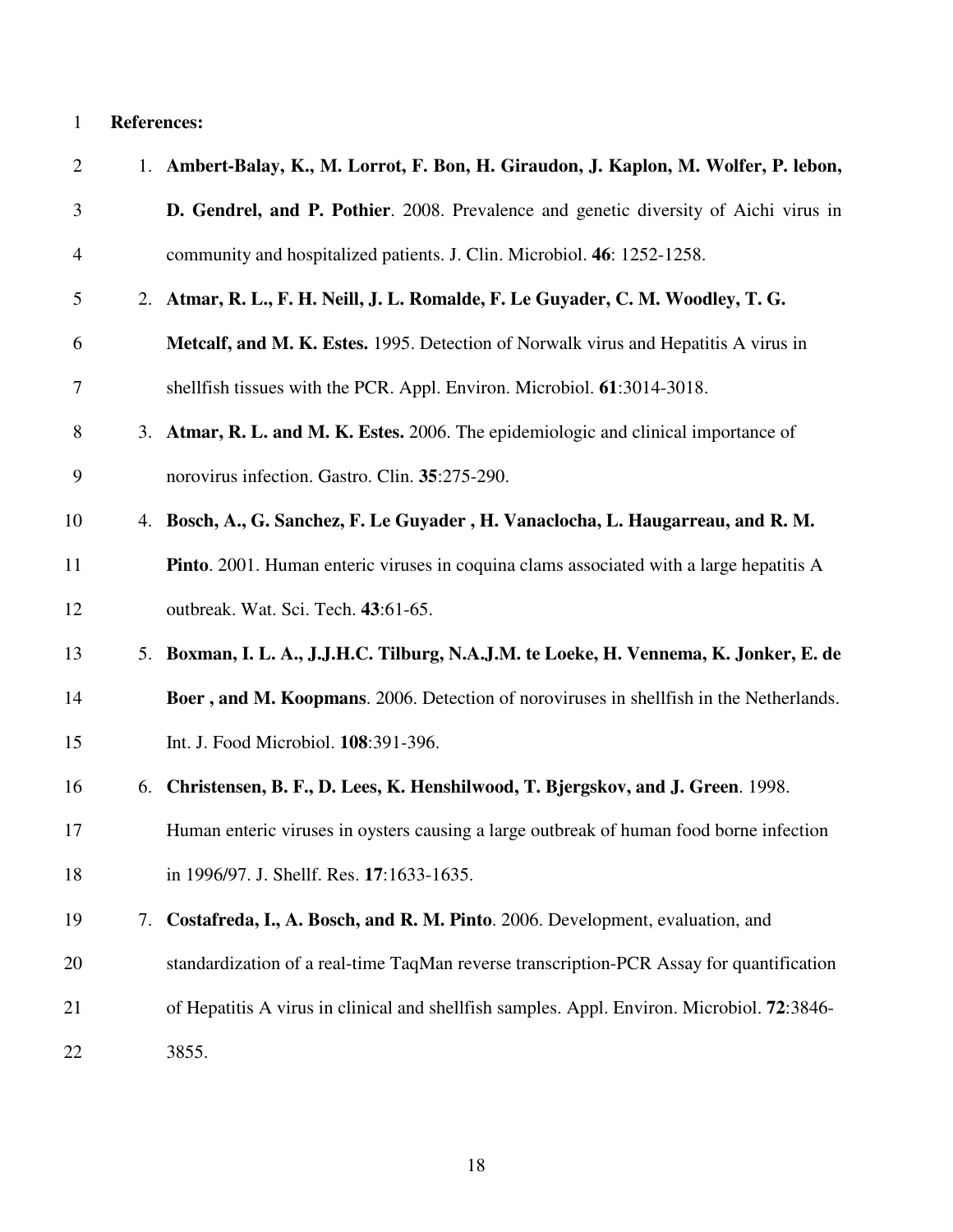# 1 **References:**

| $\mathbf{2}$   |    | 1. Ambert-Balay, K., M. Lorrot, F. Bon, H. Giraudon, J. Kaplon, M. Wolfer, P. lebon,           |
|----------------|----|------------------------------------------------------------------------------------------------|
| 3              |    | D. Gendrel, and P. Pothier. 2008. Prevalence and genetic diversity of Aichi virus in           |
| $\overline{4}$ |    | community and hospitalized patients. J. Clin. Microbiol. 46: 1252-1258.                        |
| 5              |    | 2. Atmar, R. L., F. H. Neill, J. L. Romalde, F. Le Guyader, C. M. Woodley, T. G.               |
| 6              |    | Metcalf, and M. K. Estes. 1995. Detection of Norwalk virus and Hepatitis A virus in            |
| 7              |    | shell fish tissues with the PCR. Appl. Environ. Microbiol. 61:3014-3018.                       |
| $8\,$          |    | 3. Atmar, R. L. and M. K. Estes. 2006. The epidemiologic and clinical importance of            |
| 9              |    | norovirus infection. Gastro. Clin. 35:275-290.                                                 |
| 10             |    | 4. Bosch, A., G. Sanchez, F. Le Guyader, H. Vanaclocha, L. Haugarreau, and R. M.               |
| 11             |    | <b>Pinto.</b> 2001. Human enteric viruses in coquina clams associated with a large hepatitis A |
| 12             |    | outbreak. Wat. Sci. Tech. 43:61-65.                                                            |
| 13             | 5. | Boxman, I. L. A., J.J.H.C. Tilburg, N.A.J.M. te Loeke, H. Vennema, K. Jonker, E. de            |
| 14             |    | Boer, and M. Koopmans. 2006. Detection of noroviruses in shellfish in the Netherlands.         |
| 15             |    | Int. J. Food Microbiol. 108:391-396.                                                           |
| 16             | 6. | Christensen, B. F., D. Lees, K. Henshilwood, T. Bjergskov, and J. Green. 1998.                 |
| 17             |    | Human enteric viruses in oysters causing a large outbreak of human food borne infection        |
| 18             |    | in 1996/97. J. Shellf. Res. 17:1633-1635.                                                      |
| 19             | 7. | Costafreda, I., A. Bosch, and R. M. Pinto. 2006. Development, evaluation, and                  |
| 20             |    | standardization of a real-time TaqMan reverse transcription-PCR Assay for quantification       |
| 21             |    | of Hepatitis A virus in clinical and shellfish samples. Appl. Environ. Microbiol. 72:3846-     |
| 22             |    | 3855.                                                                                          |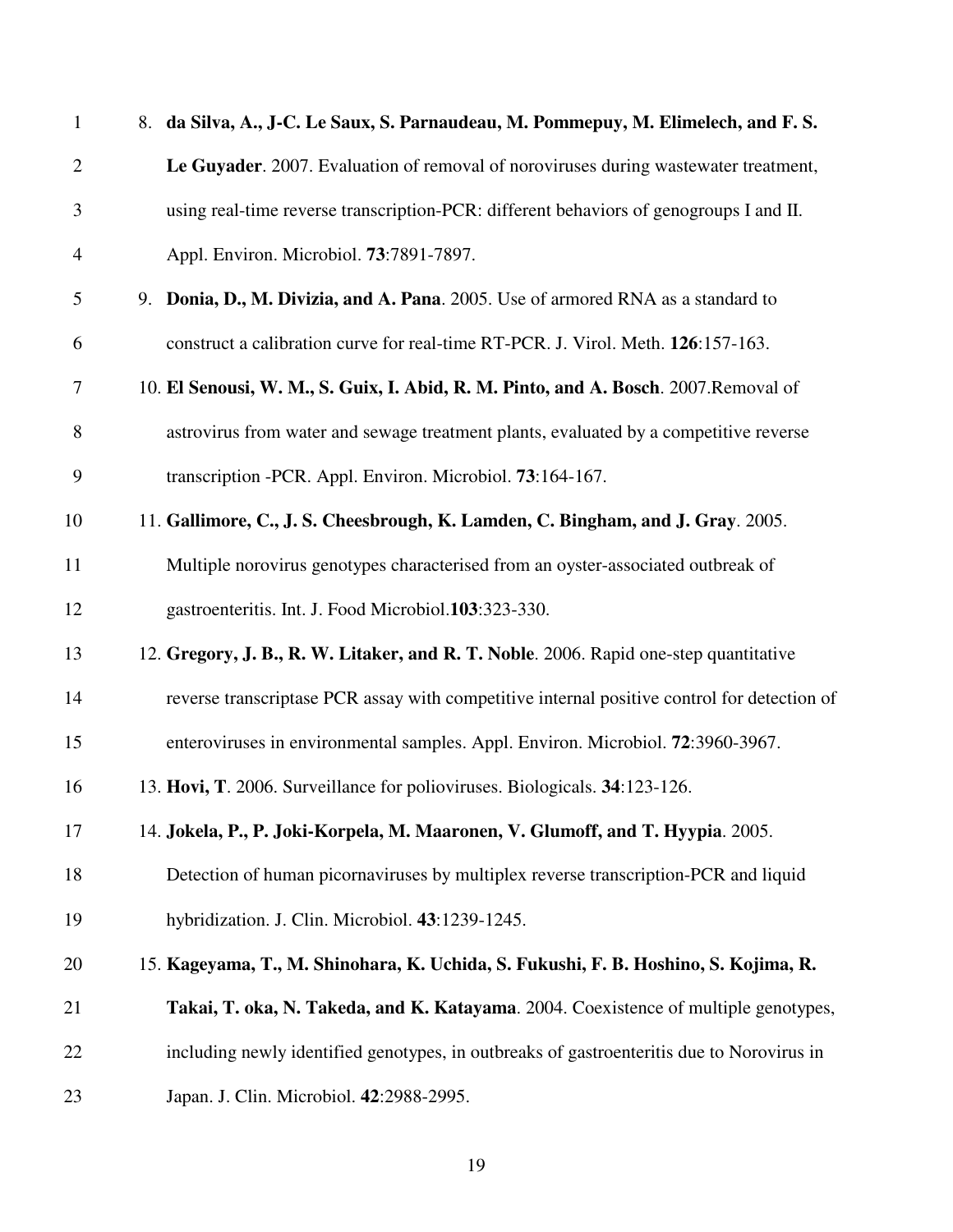| $\mathbf{1}$   |    | 8. da Silva, A., J-C. Le Saux, S. Parnaudeau, M. Pommepuy, M. Elimelech, and F. S.          |
|----------------|----|---------------------------------------------------------------------------------------------|
| $\overline{2}$ |    | Le Guyader. 2007. Evaluation of removal of noroviruses during wastewater treatment,         |
| 3              |    | using real-time reverse transcription-PCR: different behaviors of genogroups I and II.      |
| 4              |    | Appl. Environ. Microbiol. 73:7891-7897.                                                     |
| 5              | 9. | Donia, D., M. Divizia, and A. Pana. 2005. Use of armored RNA as a standard to               |
| 6              |    | construct a calibration curve for real-time RT-PCR. J. Virol. Meth. 126:157-163.            |
| $\tau$         |    | 10. El Senousi, W. M., S. Guix, I. Abid, R. M. Pinto, and A. Bosch. 2007. Removal of        |
| 8              |    | astrovirus from water and sewage treatment plants, evaluated by a competitive reverse       |
| 9              |    | transcription - PCR. Appl. Environ. Microbiol. 73:164-167.                                  |
| 10             |    | 11. Gallimore, C., J. S. Cheesbrough, K. Lamden, C. Bingham, and J. Gray. 2005.             |
| 11             |    | Multiple norovirus genotypes characterised from an oyster-associated outbreak of            |
| 12             |    | gastroenteritis. Int. J. Food Microbiol.103:323-330.                                        |
| 13             |    | 12. Gregory, J. B., R. W. Litaker, and R. T. Noble. 2006. Rapid one-step quantitative       |
| 14             |    | reverse transcriptase PCR assay with competitive internal positive control for detection of |
| 15             |    | enteroviruses in environmental samples. Appl. Environ. Microbiol. 72:3960-3967.             |
| 16             |    | 13. Hovi, T. 2006. Surveillance for polioviruses. Biologicals. 34:123-126.                  |
| 17             |    | 14. Jokela, P., P. Joki-Korpela, M. Maaronen, V. Glumoff, and T. Hyypia. 2005.              |
| 18             |    | Detection of human picornaviruses by multiplex reverse transcription-PCR and liquid         |
| 19             |    | hybridization. J. Clin. Microbiol. 43:1239-1245.                                            |
| 20             |    | 15. Kageyama, T., M. Shinohara, K. Uchida, S. Fukushi, F. B. Hoshino, S. Kojima, R.         |
| 21             |    | Takai, T. oka, N. Takeda, and K. Katayama. 2004. Coexistence of multiple genotypes,         |
| 22             |    | including newly identified genotypes, in outbreaks of gastroenteritis due to Norovirus in   |
| 23             |    | Japan. J. Clin. Microbiol. 42:2988-2995.                                                    |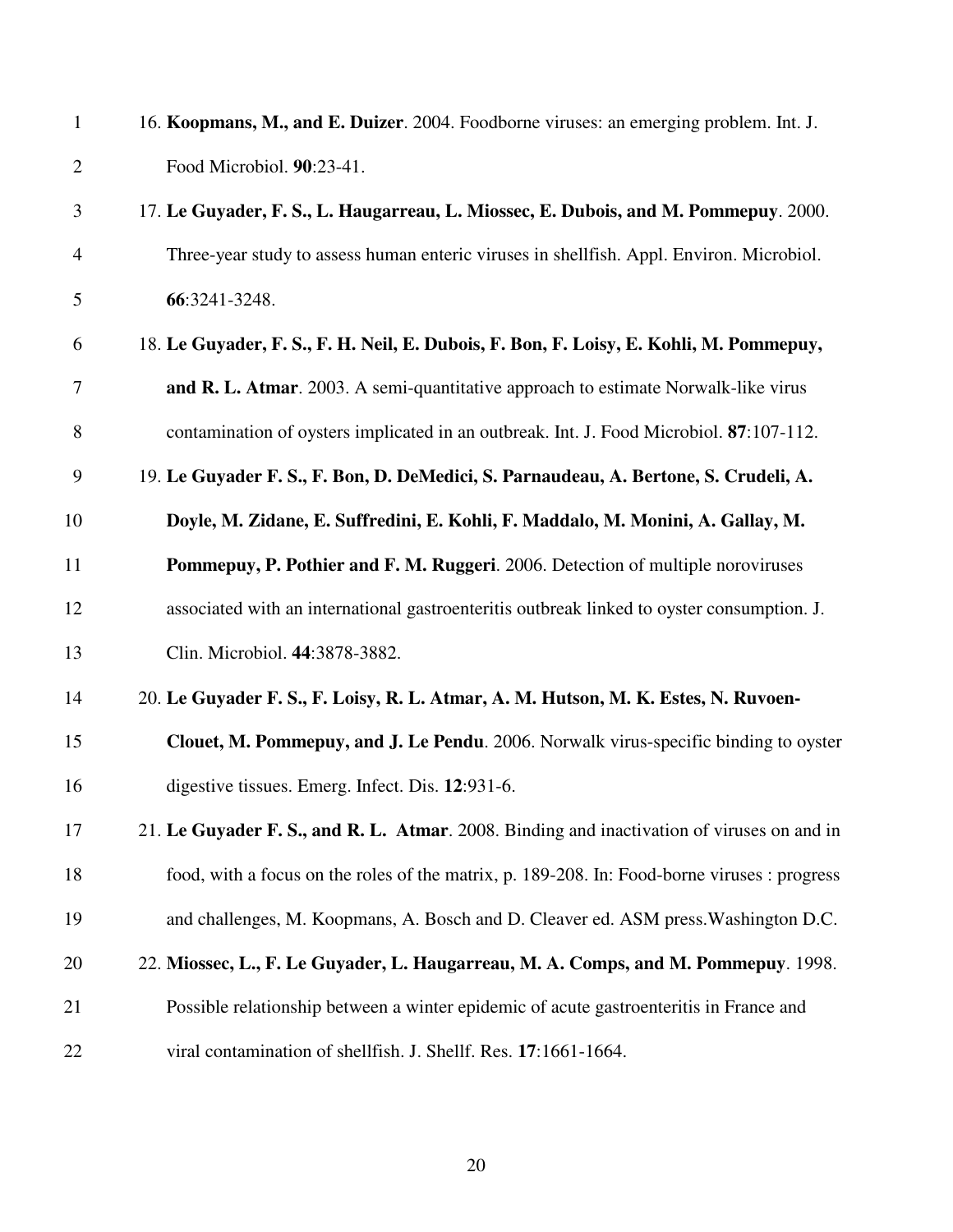| $\mathbf{1}$   | 16. Koopmans, M., and E. Duizer. 2004. Foodborne viruses: an emerging problem. Int. J.       |
|----------------|----------------------------------------------------------------------------------------------|
| $\overline{2}$ | Food Microbiol. 90:23-41.                                                                    |
| 3              | 17. Le Guyader, F. S., L. Haugarreau, L. Miossec, E. Dubois, and M. Pommepuy. 2000.          |
| 4              | Three-year study to assess human enteric viruses in shellfish. Appl. Environ. Microbiol.     |
| 5              | 66:3241-3248.                                                                                |
| 6              | 18. Le Guyader, F. S., F. H. Neil, E. Dubois, F. Bon, F. Loisy, E. Kohli, M. Pommepuy,       |
| 7              | and R. L. Atmar. 2003. A semi-quantitative approach to estimate Norwalk-like virus           |
| 8              | contamination of oysters implicated in an outbreak. Int. J. Food Microbiol. 87:107-112.      |
| 9              | 19. Le Guyader F. S., F. Bon, D. DeMedici, S. Parnaudeau, A. Bertone, S. Crudeli, A.         |
| 10             | Doyle, M. Zidane, E. Suffredini, E. Kohli, F. Maddalo, M. Monini, A. Gallay, M.              |
| 11             | Pommepuy, P. Pothier and F. M. Ruggeri. 2006. Detection of multiple noroviruses              |
| 12             | associated with an international gastroenteritis outbreak linked to oyster consumption. J.   |
| 13             | Clin. Microbiol. 44:3878-3882.                                                               |
| 14             | 20. Le Guyader F. S., F. Loisy, R. L. Atmar, A. M. Hutson, M. K. Estes, N. Ruvoen-           |
| 15             | Clouet, M. Pommepuy, and J. Le Pendu. 2006. Norwalk virus-specific binding to oyster         |
| 16             | digestive tissues. Emerg. Infect. Dis. 12:931-6.                                             |
| 17             | 21. Le Guyader F. S., and R. L. Atmar. 2008. Binding and inactivation of viruses on and in   |
| 18             | food, with a focus on the roles of the matrix, p. 189-208. In: Food-borne viruses : progress |
| 19             | and challenges, M. Koopmans, A. Bosch and D. Cleaver ed. ASM press. Washington D.C.          |
| 20             | 22. Miossec, L., F. Le Guyader, L. Haugarreau, M. A. Comps, and M. Pommepuy. 1998.           |
| 21             | Possible relationship between a winter epidemic of acute gastroenteritis in France and       |
| 22             | viral contamination of shellfish. J. Shellf. Res. 17:1661-1664.                              |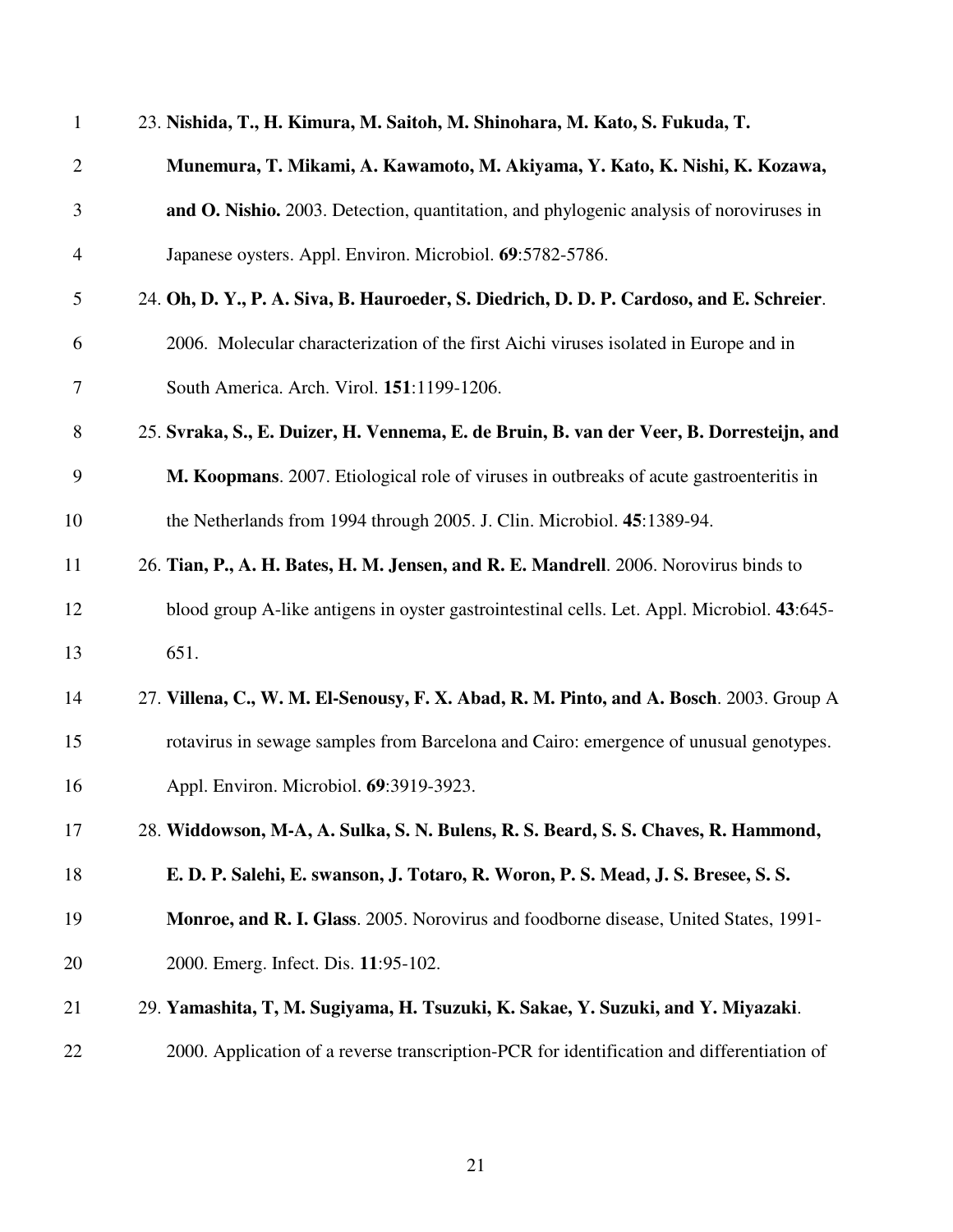| $\mathbf{1}$   | 23. Nishida, T., H. Kimura, M. Saitoh, M. Shinohara, M. Kato, S. Fukuda, T.                 |
|----------------|---------------------------------------------------------------------------------------------|
| $\overline{2}$ | Munemura, T. Mikami, A. Kawamoto, M. Akiyama, Y. Kato, K. Nishi, K. Kozawa,                 |
| 3              | and O. Nishio. 2003. Detection, quantitation, and phylogenic analysis of noroviruses in     |
| $\overline{4}$ | Japanese oysters. Appl. Environ. Microbiol. 69:5782-5786.                                   |
| 5              | 24. Oh, D. Y., P. A. Siva, B. Hauroeder, S. Diedrich, D. D. P. Cardoso, and E. Schreier.    |
| 6              | 2006. Molecular characterization of the first Aichi viruses isolated in Europe and in       |
| 7              | South America. Arch. Virol. 151:1199-1206.                                                  |
| 8              | 25. Svraka, S., E. Duizer, H. Vennema, E. de Bruin, B. van der Veer, B. Dorresteijn, and    |
| 9              | M. Koopmans. 2007. Etiological role of viruses in outbreaks of acute gastroenteritis in     |
| 10             | the Netherlands from 1994 through 2005. J. Clin. Microbiol. 45:1389-94.                     |
| 11             | 26. Tian, P., A. H. Bates, H. M. Jensen, and R. E. Mandrell. 2006. Norovirus binds to       |
| 12             | blood group A-like antigens in oyster gastrointestinal cells. Let. Appl. Microbiol. 43:645- |
| 13             | 651.                                                                                        |
| 14             | 27. Villena, C., W. M. El-Senousy, F. X. Abad, R. M. Pinto, and A. Bosch. 2003. Group A     |
| 15             | rotavirus in sewage samples from Barcelona and Cairo: emergence of unusual genotypes.       |
| 16             | Appl. Environ. Microbiol. 69:3919-3923.                                                     |
| 17             | 28. Widdowson, M-A, A. Sulka, S. N. Bulens, R. S. Beard, S. S. Chaves, R. Hammond,          |
| 18             | E. D. P. Salehi, E. swanson, J. Totaro, R. Woron, P. S. Mead, J. S. Bresee, S. S.           |
| 19             | Monroe, and R. I. Glass. 2005. Norovirus and foodborne disease, United States, 1991-        |
| 20             | 2000. Emerg. Infect. Dis. 11:95-102.                                                        |
| 21             | 29. Yamashita, T, M. Sugiyama, H. Tsuzuki, K. Sakae, Y. Suzuki, and Y. Miyazaki.            |
| 22             | 2000. Application of a reverse transcription-PCR for identification and differentiation of  |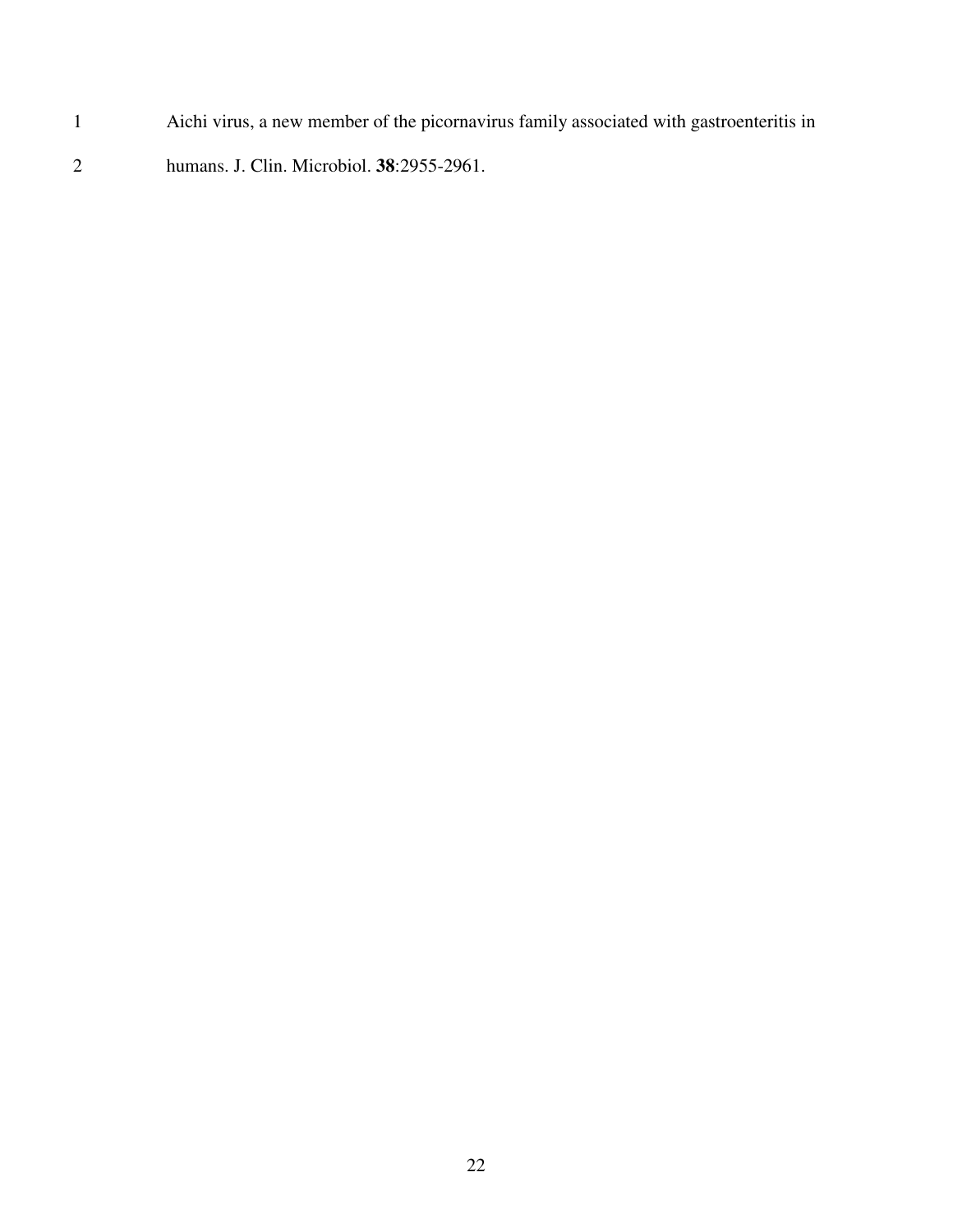- 1 Aichi virus, a new member of the picornavirus family associated with gastroenteritis in
- 2 humans. J. Clin. Microbiol. **38**:2955-2961.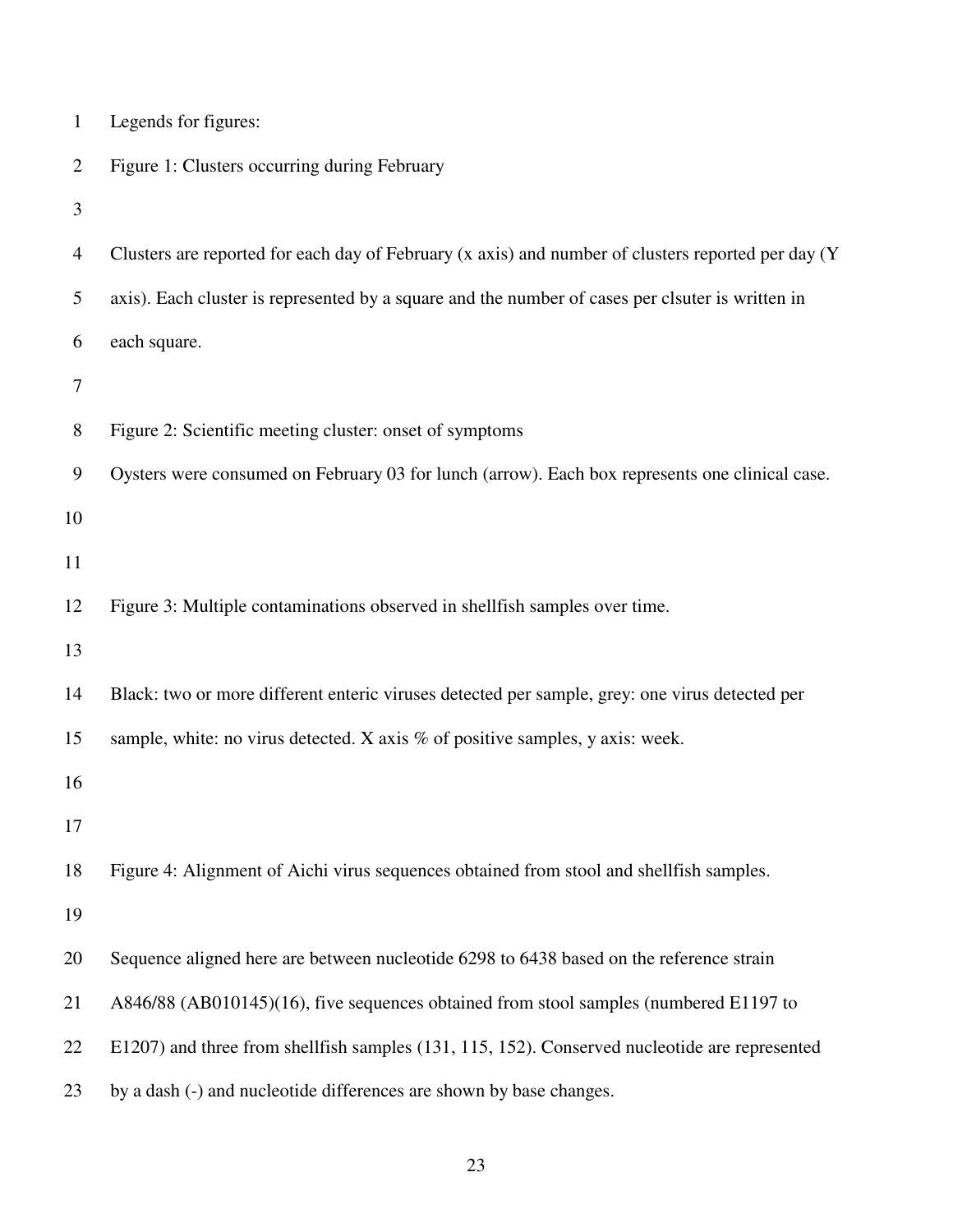| $\mathbf{1}$   | Legends for figures:                                                                               |
|----------------|----------------------------------------------------------------------------------------------------|
| $\overline{2}$ | Figure 1: Clusters occurring during February                                                       |
| 3              |                                                                                                    |
| 4              | Clusters are reported for each day of February (x axis) and number of clusters reported per day (Y |
| 5              | axis). Each cluster is represented by a square and the number of cases per clsuter is written in   |
| 6              | each square.                                                                                       |
| 7              |                                                                                                    |
| 8              | Figure 2: Scientific meeting cluster: onset of symptoms                                            |
| 9              | Oysters were consumed on February 03 for lunch (arrow). Each box represents one clinical case.     |
| 10             |                                                                                                    |
| 11             |                                                                                                    |
| 12             | Figure 3: Multiple contaminations observed in shellfish samples over time.                         |
| 13             |                                                                                                    |
| 14             | Black: two or more different enteric viruses detected per sample, grey: one virus detected per     |
| 15             | sample, white: no virus detected. X axis $%$ of positive samples, y axis: week.                    |
| 16             |                                                                                                    |
| 17             |                                                                                                    |
| 18             | Figure 4: Alignment of Aichi virus sequences obtained from stool and shellfish samples.            |
| 19             |                                                                                                    |
| 20             | Sequence aligned here are between nucleotide 6298 to 6438 based on the reference strain            |
| 21             | A846/88 (AB010145)(16), five sequences obtained from stool samples (numbered E1197 to              |
| 22             | E1207) and three from shellfish samples (131, 115, 152). Conserved nucleotide are represented      |
| 23             | by a dash (-) and nucleotide differences are shown by base changes.                                |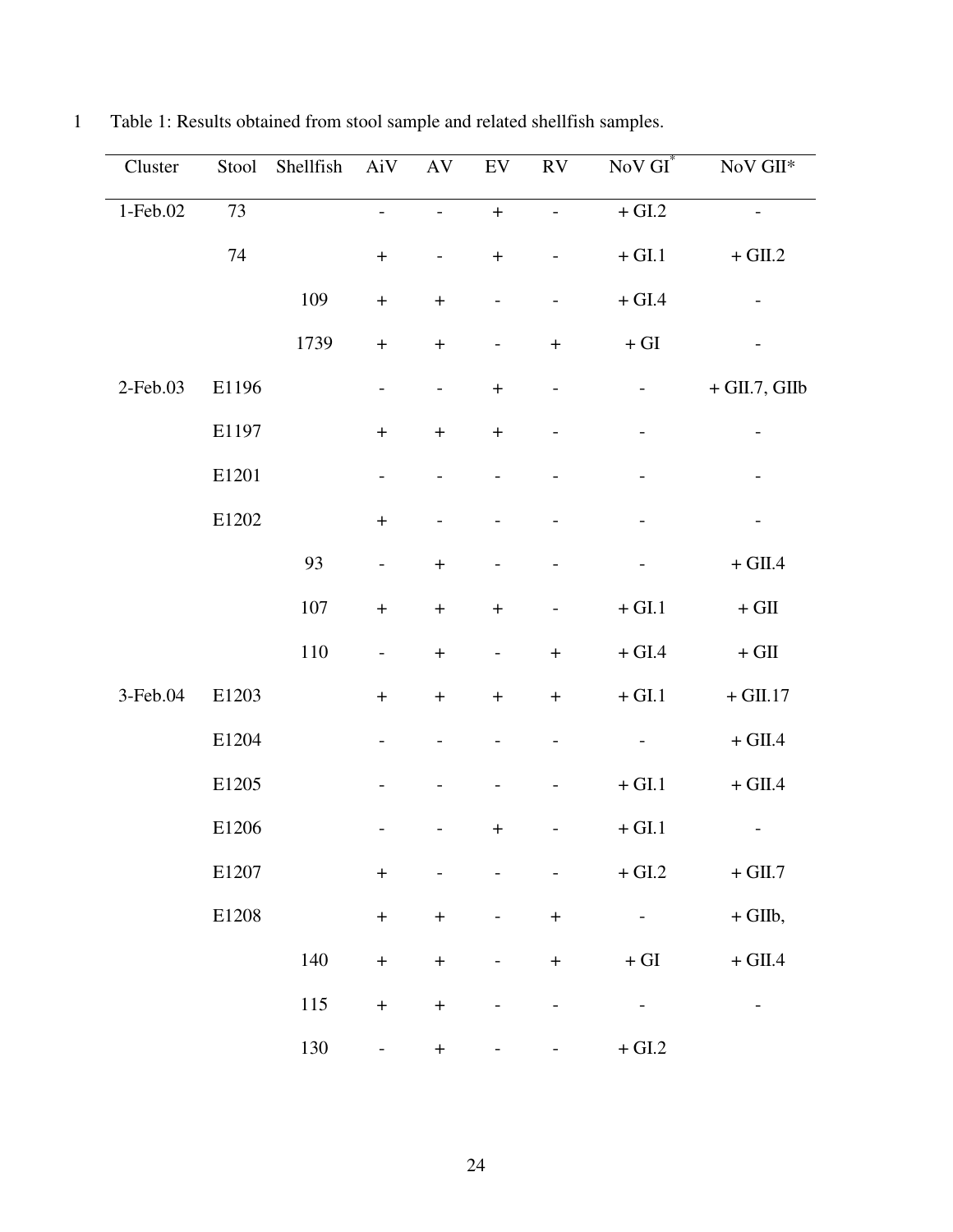| Cluster    | Stool | Shellfish | AiV                      | AV                               | ${\rm EV}$                       | ${\rm RV}$                   | $NoVGI^*$                    | $\rm NoV\,GHz$               |
|------------|-------|-----------|--------------------------|----------------------------------|----------------------------------|------------------------------|------------------------------|------------------------------|
| $1-Feb.02$ | 73    |           |                          |                                  | $\ddot{}$                        |                              | $+\mathop{\rm GL}\nolimits2$ |                              |
|            | 74    |           | $\! + \!$                | $\overline{\phantom{a}}$         | $\! + \!$                        | $\qquad \qquad -$            | $+$ GI.1                     | $+$ GII.2                    |
|            |       | 109       | $\boldsymbol{+}$         | $\begin{array}{c} + \end{array}$ | $\overline{\phantom{a}}$         | $\overline{\phantom{0}}$     | $+$ GI.4                     | $\qquad \qquad -$            |
|            |       | 1739      | $\boldsymbol{+}$         | $\! + \!$                        | $\overline{\phantom{a}}$         | $\boldsymbol{+}$             | $+ \operatorname{GI}$        |                              |
| 2-Feb.03   | E1196 |           | $\overline{\phantom{a}}$ | $\overline{\phantom{a}}$         | $\boldsymbol{+}$                 | $\qquad \qquad \blacksquare$ | -                            | $+$ GII.7, GIIb              |
|            | E1197 |           | $\! + \!$                | $\boldsymbol{+}$                 | $\! + \!$                        | $\qquad \qquad -$            | $\qquad \qquad -$            | $\qquad \qquad \blacksquare$ |
|            | E1201 |           | $\overline{\phantom{a}}$ | $\overline{\phantom{a}}$         | $\overline{\phantom{a}}$         |                              |                              |                              |
|            | E1202 |           | $\qquad \qquad +$        |                                  |                                  |                              |                              | $\qquad \qquad -$            |
|            |       | 93        | $\overline{\phantom{m}}$ | $\begin{array}{c} + \end{array}$ | $\overline{\phantom{a}}$         |                              |                              | $+$ GII.4                    |
|            |       | $107\,$   | $\boldsymbol{+}$         | $\boldsymbol{+}$                 | $\! + \!$                        | $\qquad \qquad -$            | $+\mathop{\rm GL}\nolimits1$ | $+$ GII $\,$                 |
|            |       | 110       | $\overline{\phantom{a}}$ | $\boldsymbol{+}$                 | $\overline{\phantom{a}}$         | $\boldsymbol{+}$             | $+$ GI.4 $\,$                | $+$ GII $\,$                 |
| 3-Feb.04   | E1203 |           | $\boldsymbol{+}$         | $\begin{array}{c} + \end{array}$ | $\boldsymbol{+}$                 | $\boldsymbol{+}$             | $+\mathop{\rm GL}\nolimits1$ | $+$ GII.17                   |
|            | E1204 |           |                          |                                  | $\overline{\phantom{a}}$         | $\overline{\phantom{0}}$     | $\overline{\phantom{0}}$     | $+$ GII.4                    |
|            | E1205 |           |                          |                                  | $\overline{\phantom{a}}$         |                              | $+\mathop{\rm GL}\nolimits1$ | $+$ GII.4                    |
|            | E1206 |           |                          |                                  | $\begin{array}{c} + \end{array}$ | $\overline{\phantom{0}}$     | $+$ GI.1                     | $\overline{\phantom{a}}$     |
|            | E1207 |           | $\! + \!$                |                                  |                                  | $\overline{a}$               | $+$ GI.2                     | $+$ GII.7 $\,$               |
|            | E1208 |           | $\! + \!$                | $\! + \!$                        | $\overline{\phantom{a}}$         | $\boldsymbol{+}$             | $\overline{\phantom{a}}$     | $+$ GIIb,                    |
|            |       | 140       | $\boldsymbol{+}$         | $\color{red}{+}$                 | $\overline{\phantom{a}}$         | $\boldsymbol{+}$             | $+ \operatorname{GI}$        | $+$ GII.4                    |
|            |       | 115       | $\boldsymbol{+}$         | $\boldsymbol{+}$                 | $\qquad \qquad \blacksquare$     | $\qquad \qquad -$            | $\qquad \qquad -$            | $\qquad \qquad -$            |
|            |       | 130       | $\overline{\phantom{a}}$ | $\color{red}{+}$                 |                                  |                              | $+\mathop{\rm GL}\nolimits2$ |                              |

1 Table 1: Results obtained from stool sample and related shellfish samples.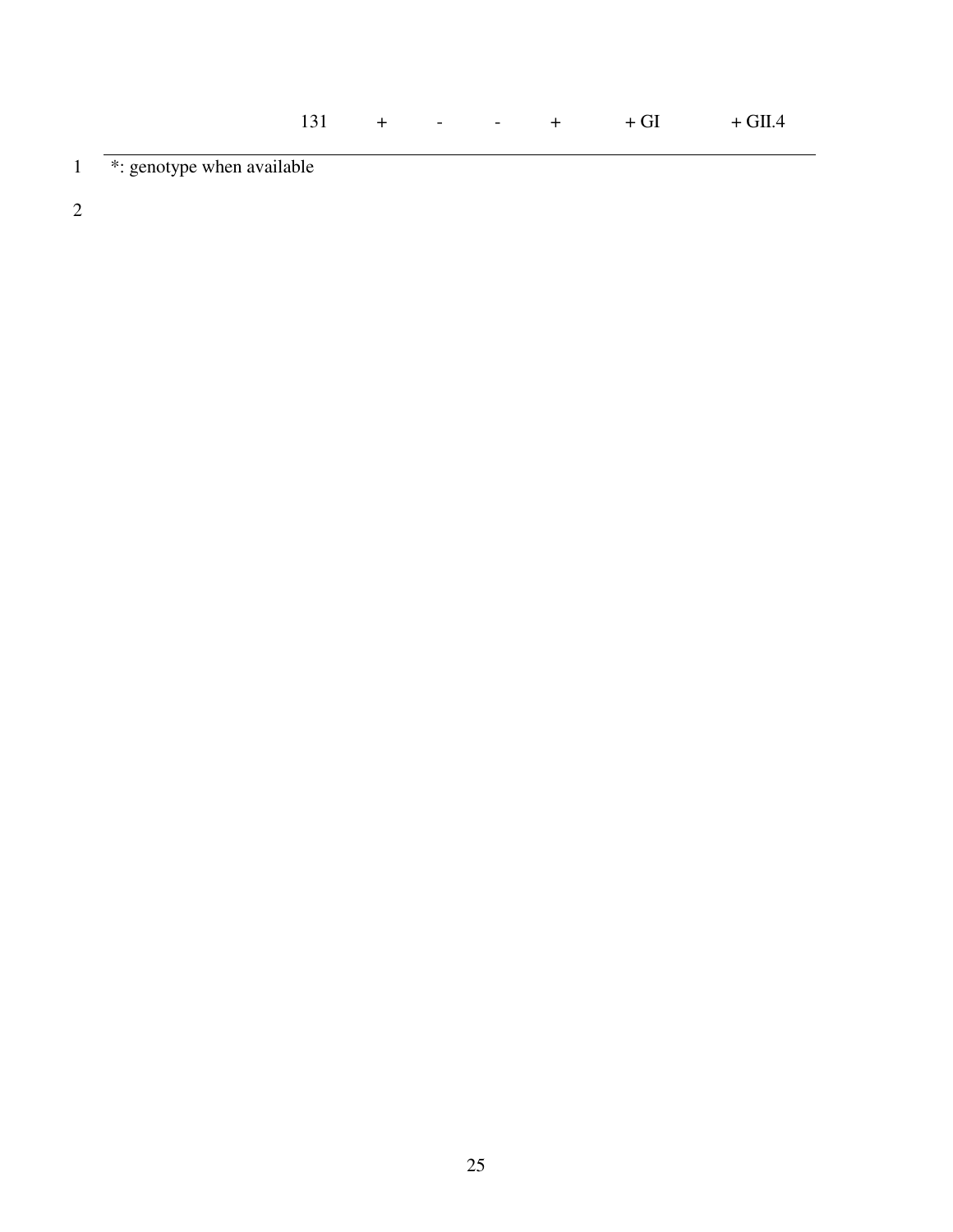1 \*: genotype when available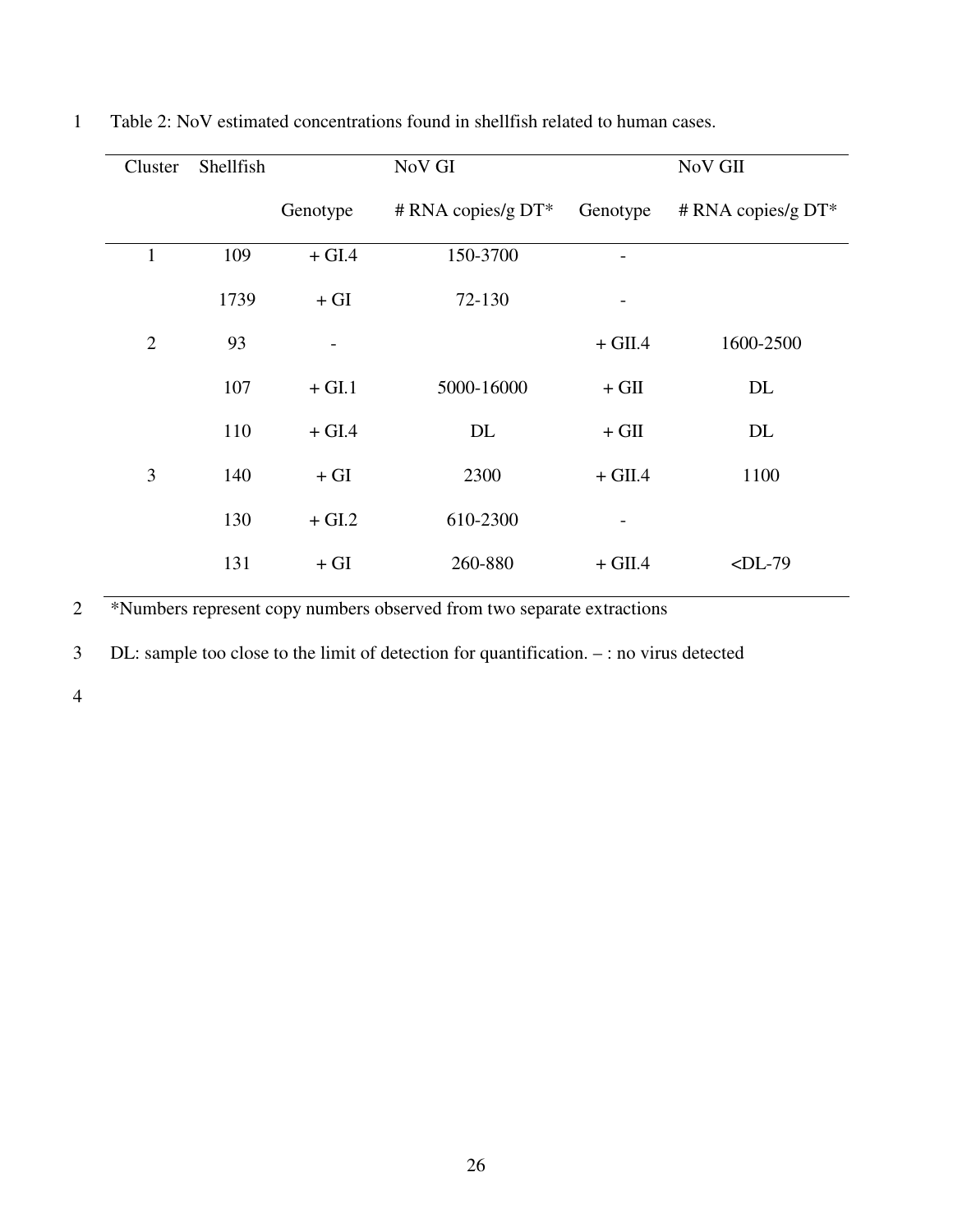| Cluster        | Shellfish |          | NoV GI                |                          | NoV GII              |  |
|----------------|-----------|----------|-----------------------|--------------------------|----------------------|--|
|                |           | Genotype | # RNA copies/g $DT^*$ | Genotype                 | # RNA copies/g $DT*$ |  |
| 1              | 109       | $+$ GI.4 | 150-3700              |                          |                      |  |
|                | 1739      | $+ GI$   | 72-130                | $\overline{\phantom{a}}$ |                      |  |
| $\overline{2}$ | 93        |          |                       | $+$ GII.4                | 1600-2500            |  |
|                | 107       | $+$ GI.1 | 5000-16000            | $+$ GII                  | DL                   |  |
|                | 110       | $+$ GI.4 | DL                    | $+$ GII                  | DL                   |  |
| 3              | 140       | $+ GI$   | 2300                  | $+$ GII.4                | 1100                 |  |
|                | 130       | $+$ GI.2 | 610-2300              | -                        |                      |  |
|                | 131       | $+ GI$   | 260-880               | $+$ GII.4                | $\n  $               |  |

1 Table 2: NoV estimated concentrations found in shellfish related to human cases.

2 \*Numbers represent copy numbers observed from two separate extractions

3 DL: sample too close to the limit of detection for quantification. – : no virus detected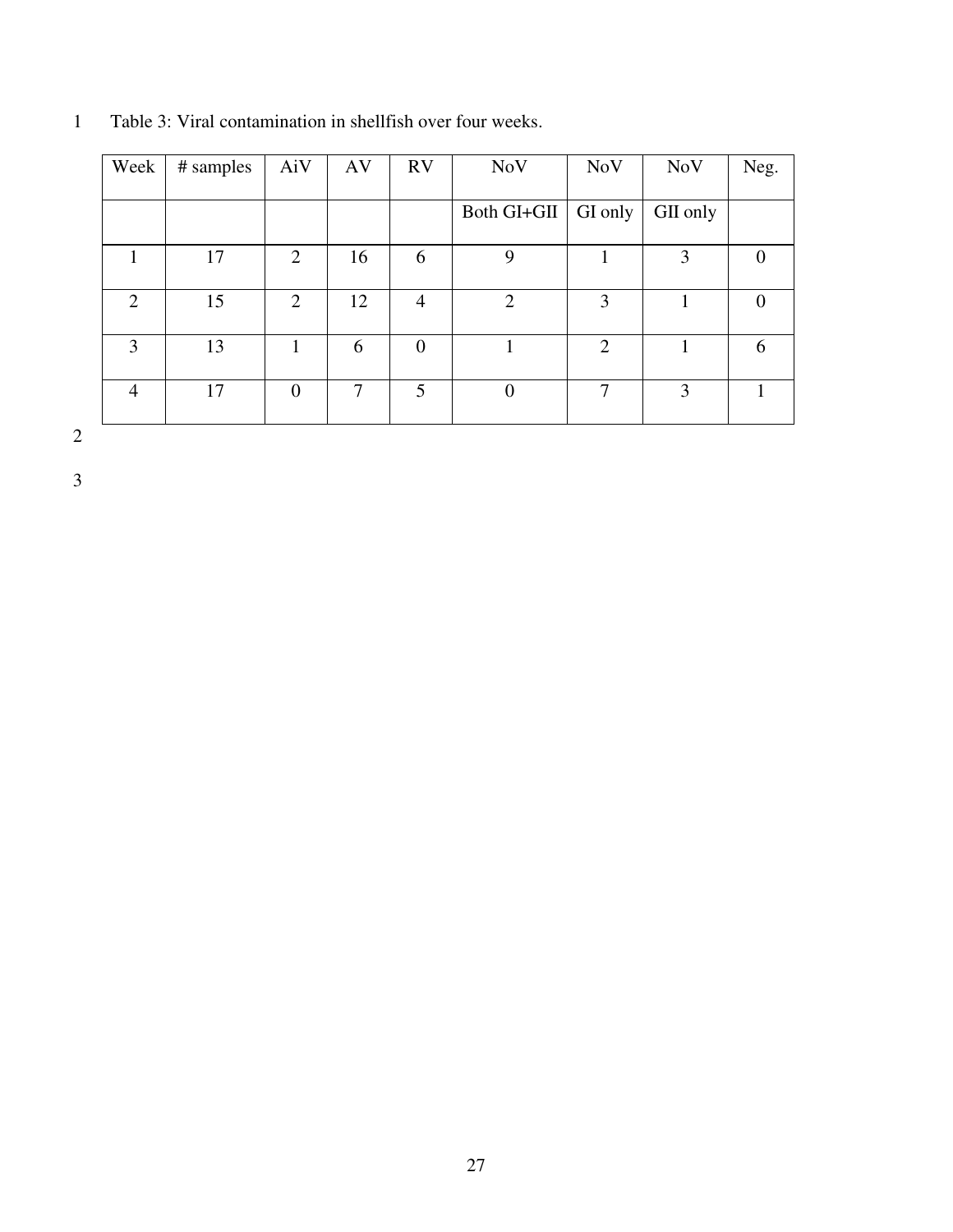| Week           | # samples | AiV | AV | <b>RV</b>      | <b>NoV</b>     | <b>NoV</b>     | <b>NoV</b> | Neg. |
|----------------|-----------|-----|----|----------------|----------------|----------------|------------|------|
|                |           |     |    |                |                |                |            |      |
|                |           |     |    |                | Both GI+GII    | GI only        | GII only   |      |
|                |           |     |    |                |                |                |            |      |
|                | 17        | 2   | 16 | 6              | 9              |                | 3          |      |
|                |           |     |    |                |                |                |            |      |
| 2              | 15        | 2   | 12 | 4              | $\overline{2}$ | 3              |            |      |
|                |           |     |    |                |                |                |            |      |
| 3              | 13        |     | 6  | $\overline{0}$ |                | $\overline{2}$ |            | h    |
|                |           |     |    |                |                |                |            |      |
| $\overline{4}$ | 17        | 0   |    | 5              | $\overline{0}$ | 7              | 3          |      |
|                |           |     |    |                |                |                |            |      |

1 Table 3: Viral contamination in shellfish over four weeks.

2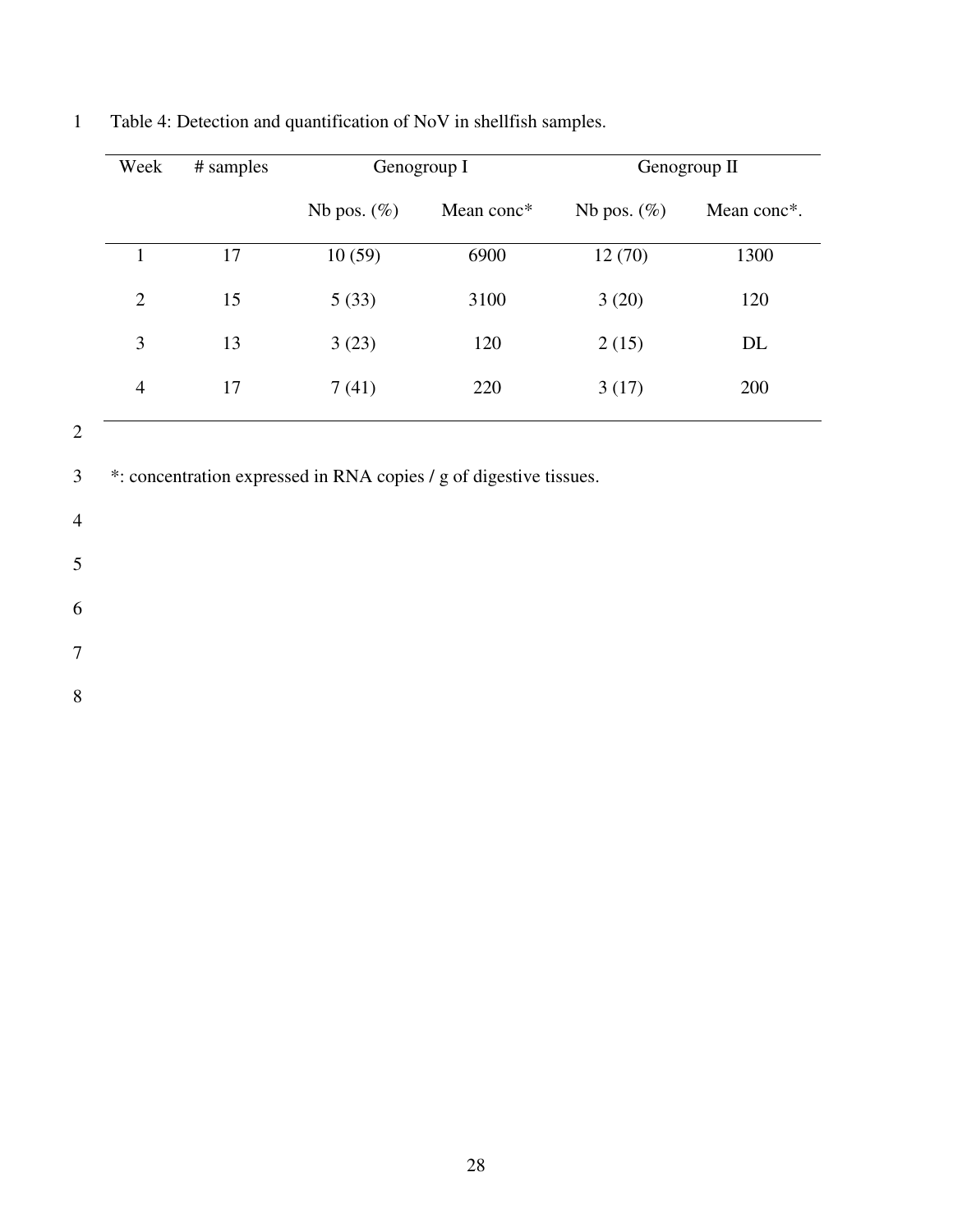| Week           | # samples | Genogroup I    |            | Genogroup II   |             |
|----------------|-----------|----------------|------------|----------------|-------------|
|                |           | Nb pos. $(\%)$ | Mean conc* | Nb pos. $(\%)$ | Mean conc*. |
|                | 17        | 10(59)         | 6900       | 12(70)         | 1300        |
| 2              | 15        | 5(33)          | 3100       | 3(20)          | 120         |
| 3              | 13        | 3(23)          | 120        | 2(15)          | DL          |
| $\overline{4}$ | 17        | 7(41)          | 220        | 3(17)          | 200         |

1 Table 4: Detection and quantification of NoV in shellfish samples.

2

3 \*: concentration expressed in RNA copies / g of digestive tissues.

4

5

6

7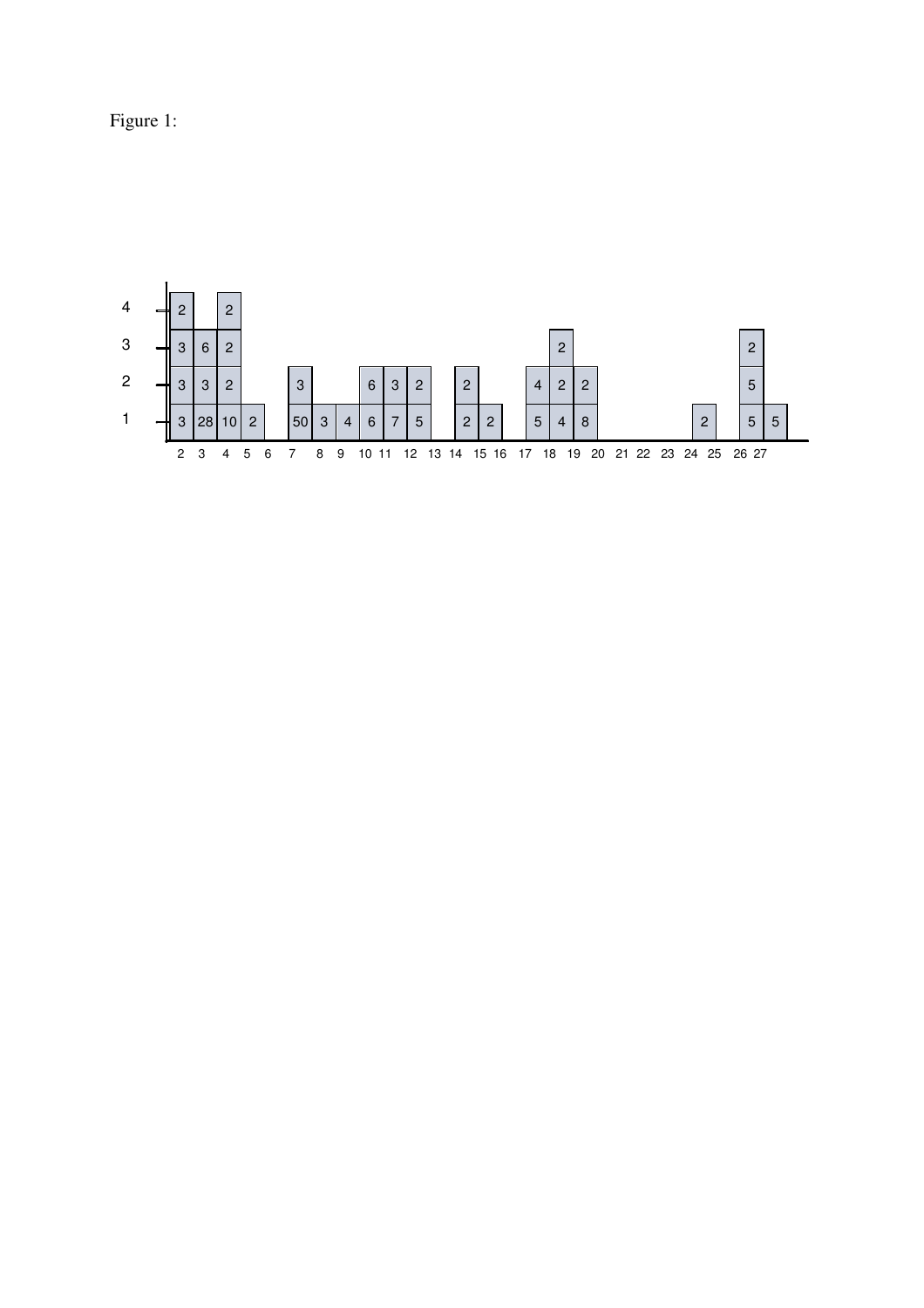Figure 1:

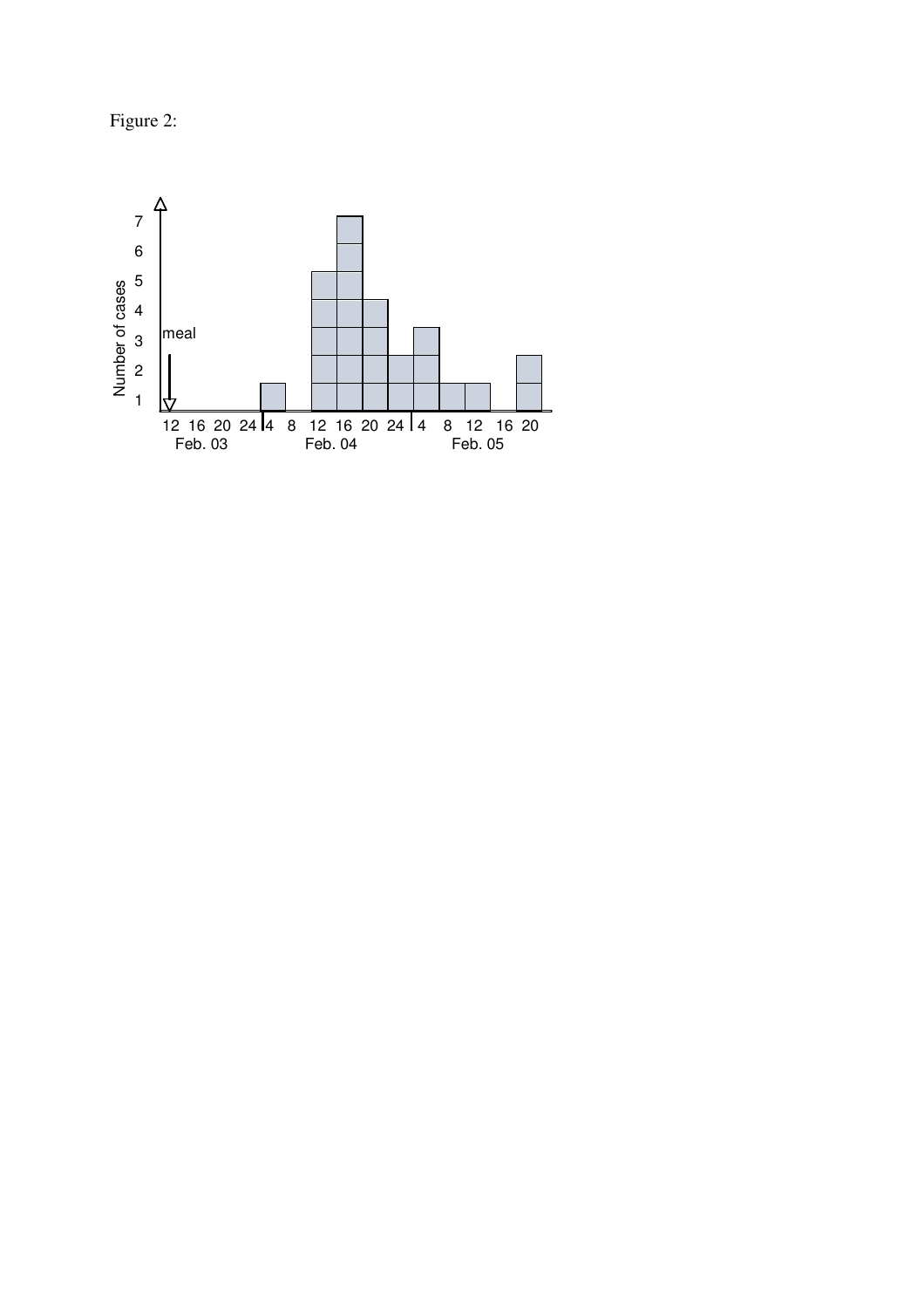Figure 2:

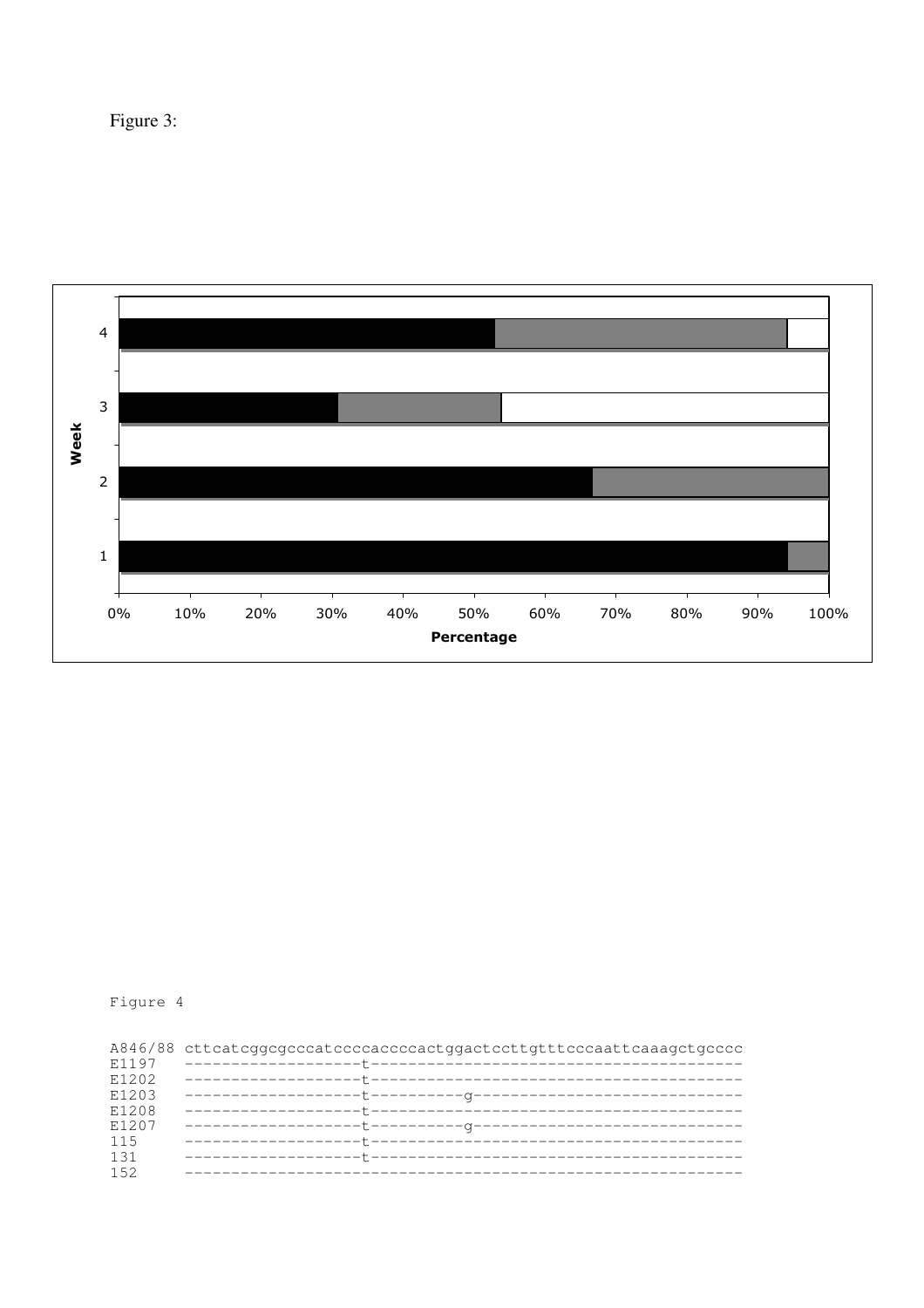Figure 3:



# Figure 4

|       | A846/88 cttcatcggcgcccatccccaccccactggactccttgtttcccaattcaaagctgcccc |
|-------|----------------------------------------------------------------------|
| E1197 |                                                                      |
| E1202 |                                                                      |
| E1203 |                                                                      |
| E1208 |                                                                      |
| E1207 |                                                                      |
| 115   |                                                                      |
| 131   |                                                                      |
| 152   |                                                                      |